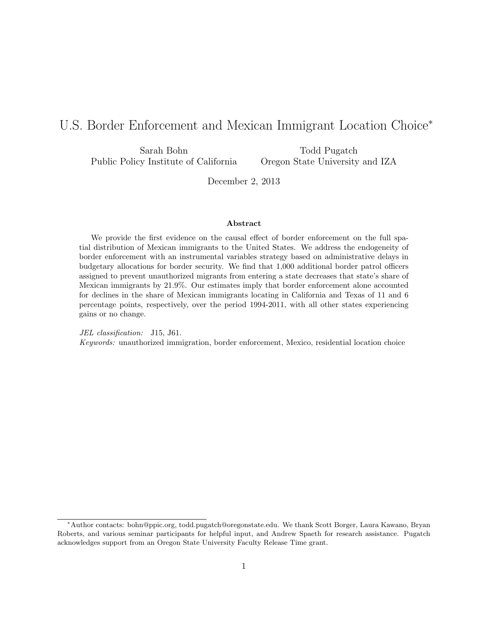# U.S. Border Enforcement and Mexican Immigrant Location Choice<sup>∗</sup>

Sarah Bohn Public Policy Institute of California

Todd Pugatch Oregon State University and IZA

December 2, 2013

#### Abstract

We provide the first evidence on the causal effect of border enforcement on the full spatial distribution of Mexican immigrants to the United States. We address the endogeneity of border enforcement with an instrumental variables strategy based on administrative delays in budgetary allocations for border security. We find that 1,000 additional border patrol officers assigned to prevent unauthorized migrants from entering a state decreases that state's share of Mexican immigrants by 21.9%. Our estimates imply that border enforcement alone accounted for declines in the share of Mexican immigrants locating in California and Texas of 11 and 6 percentage points, respectively, over the period 1994-2011, with all other states experiencing gains or no change.

JEL classification: J15, J61. Keywords: unauthorized immigration, border enforcement, Mexico, residential location choice

<sup>∗</sup>Author contacts: bohn@ppic.org, todd.pugatch@oregonstate.edu. We thank Scott Borger, Laura Kawano, Bryan Roberts, and various seminar participants for helpful input, and Andrew Spaeth for research assistance. Pugatch acknowledges support from an Oregon State University Faculty Release Time grant.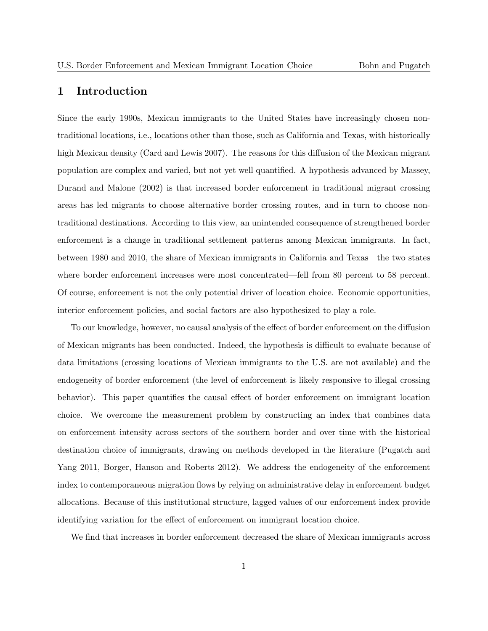# 1 Introduction

Since the early 1990s, Mexican immigrants to the United States have increasingly chosen nontraditional locations, i.e., locations other than those, such as California and Texas, with historically high Mexican density (Card and Lewis 2007). The reasons for this diffusion of the Mexican migrant population are complex and varied, but not yet well quantified. A hypothesis advanced by Massey, Durand and Malone (2002) is that increased border enforcement in traditional migrant crossing areas has led migrants to choose alternative border crossing routes, and in turn to choose nontraditional destinations. According to this view, an unintended consequence of strengthened border enforcement is a change in traditional settlement patterns among Mexican immigrants. In fact, between 1980 and 2010, the share of Mexican immigrants in California and Texas—the two states where border enforcement increases were most concentrated—fell from 80 percent to 58 percent. Of course, enforcement is not the only potential driver of location choice. Economic opportunities, interior enforcement policies, and social factors are also hypothesized to play a role.

To our knowledge, however, no causal analysis of the effect of border enforcement on the diffusion of Mexican migrants has been conducted. Indeed, the hypothesis is difficult to evaluate because of data limitations (crossing locations of Mexican immigrants to the U.S. are not available) and the endogeneity of border enforcement (the level of enforcement is likely responsive to illegal crossing behavior). This paper quantifies the causal effect of border enforcement on immigrant location choice. We overcome the measurement problem by constructing an index that combines data on enforcement intensity across sectors of the southern border and over time with the historical destination choice of immigrants, drawing on methods developed in the literature (Pugatch and Yang 2011, Borger, Hanson and Roberts 2012). We address the endogeneity of the enforcement index to contemporaneous migration flows by relying on administrative delay in enforcement budget allocations. Because of this institutional structure, lagged values of our enforcement index provide identifying variation for the effect of enforcement on immigrant location choice.

We find that increases in border enforcement decreased the share of Mexican immigrants across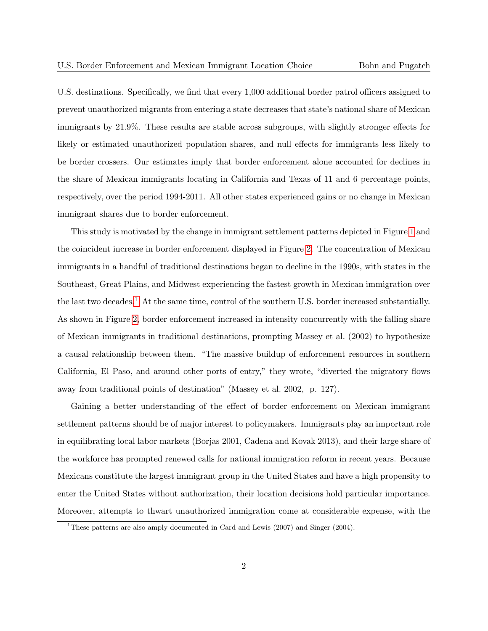U.S. destinations. Specifically, we find that every 1,000 additional border patrol officers assigned to prevent unauthorized migrants from entering a state decreases that state's national share of Mexican immigrants by 21.9%. These results are stable across subgroups, with slightly stronger effects for likely or estimated unauthorized population shares, and null effects for immigrants less likely to be border crossers. Our estimates imply that border enforcement alone accounted for declines in the share of Mexican immigrants locating in California and Texas of 11 and 6 percentage points, respectively, over the period 1994-2011. All other states experienced gains or no change in Mexican immigrant shares due to border enforcement.

This study is motivated by the change in immigrant settlement patterns depicted in Figure [1](#page-35-0) and the coincident increase in border enforcement displayed in Figure [2.](#page-35-1) The concentration of Mexican immigrants in a handful of traditional destinations began to decline in the 1990s, with states in the Southeast, Great Plains, and Midwest experiencing the fastest growth in Mexican immigration over the last two decades.<sup>[1](#page-2-0)</sup> At the same time, control of the southern U.S. border increased substantially. As shown in Figure [2,](#page-35-1) border enforcement increased in intensity concurrently with the falling share of Mexican immigrants in traditional destinations, prompting Massey et al. (2002) to hypothesize a causal relationship between them. "The massive buildup of enforcement resources in southern California, El Paso, and around other ports of entry," they wrote, "diverted the migratory flows away from traditional points of destination" (Massey et al. 2002, p. 127).

Gaining a better understanding of the effect of border enforcement on Mexican immigrant settlement patterns should be of major interest to policymakers. Immigrants play an important role in equilibrating local labor markets (Borjas 2001, Cadena and Kovak 2013), and their large share of the workforce has prompted renewed calls for national immigration reform in recent years. Because Mexicans constitute the largest immigrant group in the United States and have a high propensity to enter the United States without authorization, their location decisions hold particular importance. Moreover, attempts to thwart unauthorized immigration come at considerable expense, with the

<span id="page-2-0"></span><sup>&</sup>lt;sup>1</sup>These patterns are also amply documented in Card and Lewis (2007) and Singer (2004).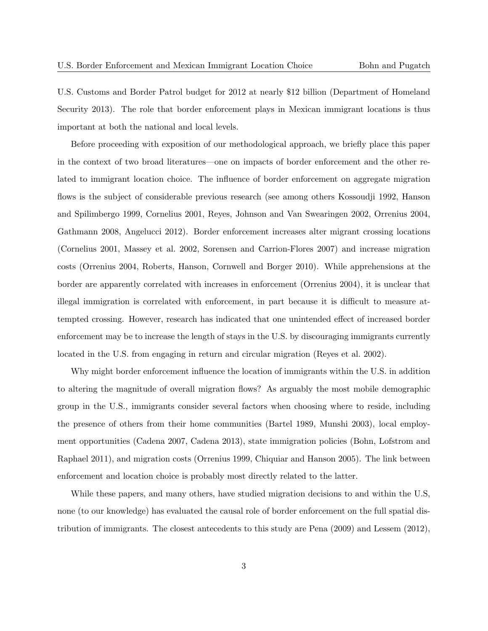U.S. Customs and Border Patrol budget for 2012 at nearly \$12 billion (Department of Homeland Security 2013). The role that border enforcement plays in Mexican immigrant locations is thus important at both the national and local levels.

Before proceeding with exposition of our methodological approach, we briefly place this paper in the context of two broad literatures—one on impacts of border enforcement and the other related to immigrant location choice. The influence of border enforcement on aggregate migration flows is the subject of considerable previous research (see among others Kossoudji 1992, Hanson and Spilimbergo 1999, Cornelius 2001, Reyes, Johnson and Van Swearingen 2002, Orrenius 2004, Gathmann 2008, Angelucci 2012). Border enforcement increases alter migrant crossing locations (Cornelius 2001, Massey et al. 2002, Sorensen and Carrion-Flores 2007) and increase migration costs (Orrenius 2004, Roberts, Hanson, Cornwell and Borger 2010). While apprehensions at the border are apparently correlated with increases in enforcement (Orrenius 2004), it is unclear that illegal immigration is correlated with enforcement, in part because it is difficult to measure attempted crossing. However, research has indicated that one unintended effect of increased border enforcement may be to increase the length of stays in the U.S. by discouraging immigrants currently located in the U.S. from engaging in return and circular migration (Reyes et al. 2002).

Why might border enforcement influence the location of immigrants within the U.S. in addition to altering the magnitude of overall migration flows? As arguably the most mobile demographic group in the U.S., immigrants consider several factors when choosing where to reside, including the presence of others from their home communities (Bartel 1989, Munshi 2003), local employment opportunities (Cadena 2007, Cadena 2013), state immigration policies (Bohn, Lofstrom and Raphael 2011), and migration costs (Orrenius 1999, Chiquiar and Hanson 2005). The link between enforcement and location choice is probably most directly related to the latter.

While these papers, and many others, have studied migration decisions to and within the U.S, none (to our knowledge) has evaluated the causal role of border enforcement on the full spatial distribution of immigrants. The closest antecedents to this study are Pena (2009) and Lessem (2012),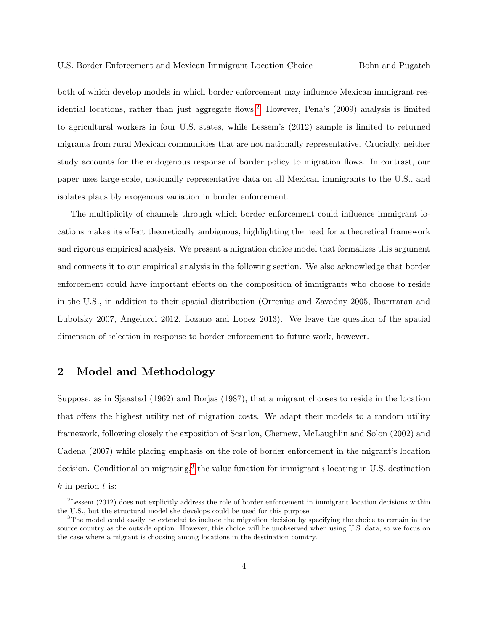both of which develop models in which border enforcement may influence Mexican immigrant res-idential locations, rather than just aggregate flows.<sup>[2](#page-4-0)</sup> However, Pena's (2009) analysis is limited to agricultural workers in four U.S. states, while Lessem's (2012) sample is limited to returned migrants from rural Mexican communities that are not nationally representative. Crucially, neither study accounts for the endogenous response of border policy to migration flows. In contrast, our paper uses large-scale, nationally representative data on all Mexican immigrants to the U.S., and isolates plausibly exogenous variation in border enforcement.

The multiplicity of channels through which border enforcement could influence immigrant locations makes its effect theoretically ambiguous, highlighting the need for a theoretical framework and rigorous empirical analysis. We present a migration choice model that formalizes this argument and connects it to our empirical analysis in the following section. We also acknowledge that border enforcement could have important effects on the composition of immigrants who choose to reside in the U.S., in addition to their spatial distribution (Orrenius and Zavodny 2005, Ibarrraran and Lubotsky 2007, Angelucci 2012, Lozano and Lopez 2013). We leave the question of the spatial dimension of selection in response to border enforcement to future work, however.

# <span id="page-4-2"></span>2 Model and Methodology

Suppose, as in Sjaastad (1962) and Borjas (1987), that a migrant chooses to reside in the location that offers the highest utility net of migration costs. We adapt their models to a random utility framework, following closely the exposition of Scanlon, Chernew, McLaughlin and Solon (2002) and Cadena (2007) while placing emphasis on the role of border enforcement in the migrant's location decision. Conditional on migrating,<sup>[3](#page-4-1)</sup> the value function for immigrant *i* locating in U.S. destination  $k$  in period  $t$  is:

<span id="page-4-0"></span> ${}^{2}$ Lessem (2012) does not explicitly address the role of border enforcement in immigrant location decisions within the U.S., but the structural model she develops could be used for this purpose.

<span id="page-4-1"></span><sup>&</sup>lt;sup>3</sup>The model could easily be extended to include the migration decision by specifying the choice to remain in the source country as the outside option. However, this choice will be unobserved when using U.S. data, so we focus on the case where a migrant is choosing among locations in the destination country.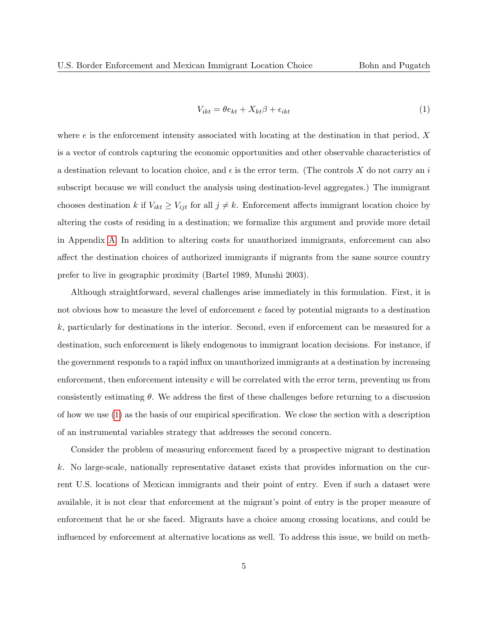<span id="page-5-0"></span>
$$
V_{ikt} = \theta e_{kt} + X_{kt}\beta + \epsilon_{ikt} \tag{1}
$$

where  $e$  is the enforcement intensity associated with locating at the destination in that period,  $X$ is a vector of controls capturing the economic opportunities and other observable characteristics of a destination relevant to location choice, and  $\epsilon$  is the error term. (The controls X do not carry an i subscript because we will conduct the analysis using destination-level aggregates.) The immigrant chooses destination k if  $V_{ikt} \geq V_{ijt}$  for all  $j \neq k$ . Enforcement affects immigrant location choice by altering the costs of residing in a destination; we formalize this argument and provide more detail in Appendix [A.](#page-25-0) In addition to altering costs for unauthorized immigrants, enforcement can also affect the destination choices of authorized immigrants if migrants from the same source country prefer to live in geographic proximity (Bartel 1989, Munshi 2003).

Although straightforward, several challenges arise immediately in this formulation. First, it is not obvious how to measure the level of enforcement e faced by potential migrants to a destination k, particularly for destinations in the interior. Second, even if enforcement can be measured for a destination, such enforcement is likely endogenous to immigrant location decisions. For instance, if the government responds to a rapid influx on unauthorized immigrants at a destination by increasing enforcement, then enforcement intensity e will be correlated with the error term, preventing us from consistently estimating  $\theta$ . We address the first of these challenges before returning to a discussion of how we use [\(1\)](#page-5-0) as the basis of our empirical specification. We close the section with a description of an instrumental variables strategy that addresses the second concern.

Consider the problem of measuring enforcement faced by a prospective migrant to destination k. No large-scale, nationally representative dataset exists that provides information on the current U.S. locations of Mexican immigrants and their point of entry. Even if such a dataset were available, it is not clear that enforcement at the migrant's point of entry is the proper measure of enforcement that he or she faced. Migrants have a choice among crossing locations, and could be influenced by enforcement at alternative locations as well. To address this issue, we build on meth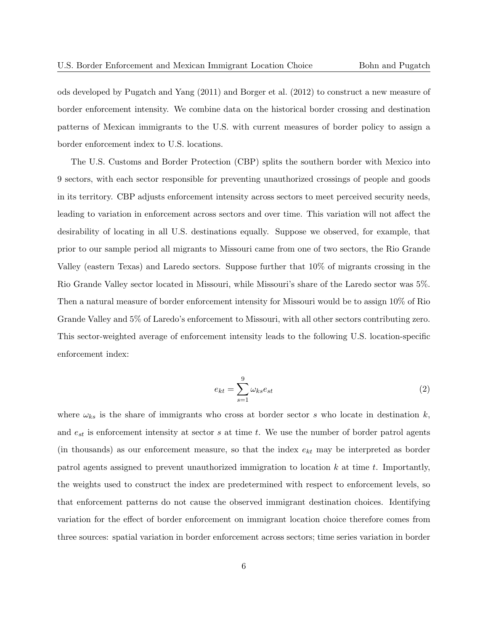ods developed by Pugatch and Yang (2011) and Borger et al. (2012) to construct a new measure of border enforcement intensity. We combine data on the historical border crossing and destination patterns of Mexican immigrants to the U.S. with current measures of border policy to assign a border enforcement index to U.S. locations.

The U.S. Customs and Border Protection (CBP) splits the southern border with Mexico into 9 sectors, with each sector responsible for preventing unauthorized crossings of people and goods in its territory. CBP adjusts enforcement intensity across sectors to meet perceived security needs, leading to variation in enforcement across sectors and over time. This variation will not affect the desirability of locating in all U.S. destinations equally. Suppose we observed, for example, that prior to our sample period all migrants to Missouri came from one of two sectors, the Rio Grande Valley (eastern Texas) and Laredo sectors. Suppose further that 10% of migrants crossing in the Rio Grande Valley sector located in Missouri, while Missouri's share of the Laredo sector was 5%. Then a natural measure of border enforcement intensity for Missouri would be to assign 10% of Rio Grande Valley and 5% of Laredo's enforcement to Missouri, with all other sectors contributing zero. This sector-weighted average of enforcement intensity leads to the following U.S. location-specific enforcement index:

<span id="page-6-0"></span>
$$
e_{kt} = \sum_{s=1}^{9} \omega_{ks} e_{st} \tag{2}
$$

where  $\omega_{ks}$  is the share of immigrants who cross at border sector s who locate in destination k, and  $e_{st}$  is enforcement intensity at sector  $s$  at time  $t$ . We use the number of border patrol agents (in thousands) as our enforcement measure, so that the index  $e_{kt}$  may be interpreted as border patrol agents assigned to prevent unauthorized immigration to location  $k$  at time  $t$ . Importantly, the weights used to construct the index are predetermined with respect to enforcement levels, so that enforcement patterns do not cause the observed immigrant destination choices. Identifying variation for the effect of border enforcement on immigrant location choice therefore comes from three sources: spatial variation in border enforcement across sectors; time series variation in border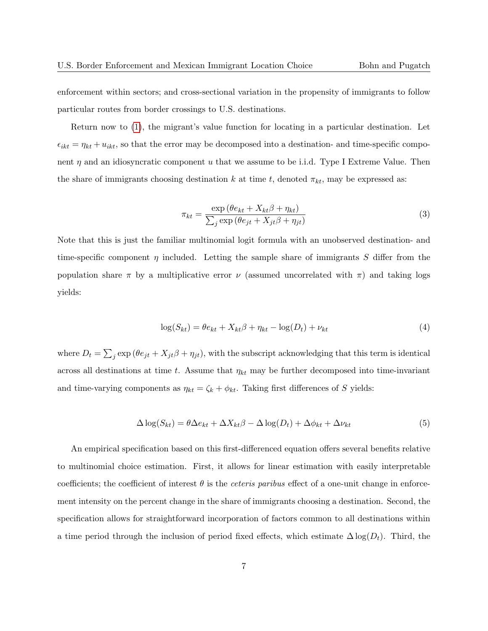enforcement within sectors; and cross-sectional variation in the propensity of immigrants to follow particular routes from border crossings to U.S. destinations.

Return now to [\(1\)](#page-5-0), the migrant's value function for locating in a particular destination. Let  $\epsilon_{ikt} = \eta_{kt} + u_{ikt}$ , so that the error may be decomposed into a destination- and time-specific component  $\eta$  and an idiosyncratic component u that we assume to be i.i.d. Type I Extreme Value. Then the share of immigrants choosing destination k at time t, denoted  $\pi_{kt}$ , may be expressed as:

$$
\pi_{kt} = \frac{\exp\left(\theta e_{kt} + X_{kt}\beta + \eta_{kt}\right)}{\sum_{j} \exp\left(\theta e_{jt} + X_{jt}\beta + \eta_{jt}\right)}\tag{3}
$$

Note that this is just the familiar multinomial logit formula with an unobserved destination- and time-specific component  $\eta$  included. Letting the sample share of immigrants S differ from the population share  $\pi$  by a multiplicative error  $\nu$  (assumed uncorrelated with  $\pi$ ) and taking logs yields:

$$
\log(S_{kt}) = \theta e_{kt} + X_{kt}\beta + \eta_{kt} - \log(D_t) + \nu_{kt}
$$
\n<sup>(4)</sup>

where  $D_t = \sum_j \exp(\theta e_{jt} + X_{jt} \beta + \eta_{jt})$ , with the subscript acknowledging that this term is identical across all destinations at time t. Assume that  $\eta_{kt}$  may be further decomposed into time-invariant and time-varying components as  $\eta_{kt} = \zeta_k + \phi_{kt}$ . Taking first differences of S yields:

<span id="page-7-0"></span>
$$
\Delta \log(S_{kt}) = \theta \Delta e_{kt} + \Delta X_{kt} \beta - \Delta \log(D_t) + \Delta \phi_{kt} + \Delta \nu_{kt}
$$
\n(5)

An empirical specification based on this first-differenced equation offers several benefits relative to multinomial choice estimation. First, it allows for linear estimation with easily interpretable coefficients; the coefficient of interest  $\theta$  is the *ceteris paribus* effect of a one-unit change in enforcement intensity on the percent change in the share of immigrants choosing a destination. Second, the specification allows for straightforward incorporation of factors common to all destinations within a time period through the inclusion of period fixed effects, which estimate  $\Delta \log(D_t)$ . Third, the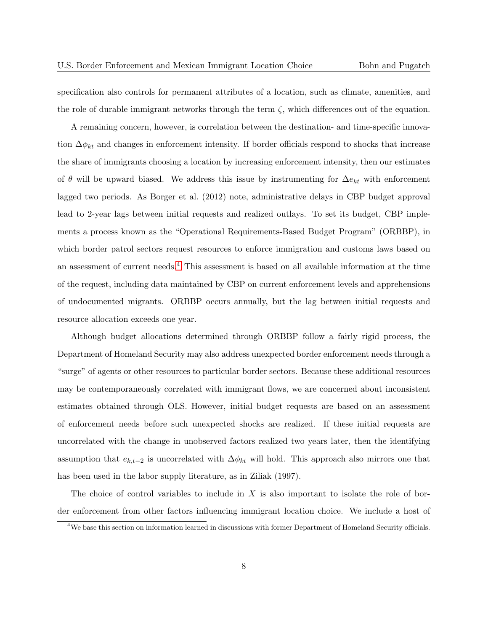specification also controls for permanent attributes of a location, such as climate, amenities, and the role of durable immigrant networks through the term  $\zeta$ , which differences out of the equation.

A remaining concern, however, is correlation between the destination- and time-specific innovation  $\Delta \phi_{kt}$  and changes in enforcement intensity. If border officials respond to shocks that increase the share of immigrants choosing a location by increasing enforcement intensity, then our estimates of  $\theta$  will be upward biased. We address this issue by instrumenting for  $\Delta e_{kt}$  with enforcement lagged two periods. As Borger et al. (2012) note, administrative delays in CBP budget approval lead to 2-year lags between initial requests and realized outlays. To set its budget, CBP implements a process known as the "Operational Requirements-Based Budget Program" (ORBBP), in which border patrol sectors request resources to enforce immigration and customs laws based on an assessment of current needs.<sup>[4](#page-8-0)</sup> This assessment is based on all available information at the time of the request, including data maintained by CBP on current enforcement levels and apprehensions of undocumented migrants. ORBBP occurs annually, but the lag between initial requests and resource allocation exceeds one year.

Although budget allocations determined through ORBBP follow a fairly rigid process, the Department of Homeland Security may also address unexpected border enforcement needs through a "surge" of agents or other resources to particular border sectors. Because these additional resources may be contemporaneously correlated with immigrant flows, we are concerned about inconsistent estimates obtained through OLS. However, initial budget requests are based on an assessment of enforcement needs before such unexpected shocks are realized. If these initial requests are uncorrelated with the change in unobserved factors realized two years later, then the identifying assumption that  $e_{k,t-2}$  is uncorrelated with  $\Delta \phi_{kt}$  will hold. This approach also mirrors one that has been used in the labor supply literature, as in Ziliak (1997).

The choice of control variables to include in  $X$  is also important to isolate the role of border enforcement from other factors influencing immigrant location choice. We include a host of

<span id="page-8-0"></span><sup>&</sup>lt;sup>4</sup>We base this section on information learned in discussions with former Department of Homeland Security officials.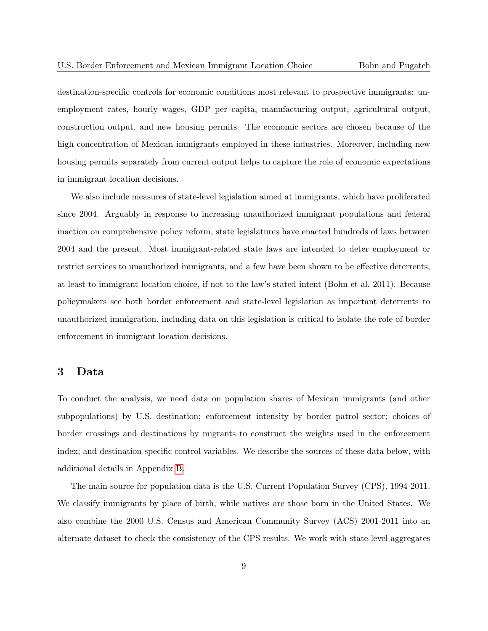destination-specific controls for economic conditions most relevant to prospective immigrants: unemployment rates, hourly wages, GDP per capita, manufacturing output, agricultural output, construction output, and new housing permits. The economic sectors are chosen because of the high concentration of Mexican immigrants employed in these industries. Moreover, including new housing permits separately from current output helps to capture the role of economic expectations in immigrant location decisions.

We also include measures of state-level legislation aimed at immigrants, which have proliferated since 2004. Arguably in response to increasing unauthorized immigrant populations and federal inaction on comprehensive policy reform, state legislatures have enacted hundreds of laws between 2004 and the present. Most immigrant-related state laws are intended to deter employment or restrict services to unauthorized immigrants, and a few have been shown to be effective deterrents, at least to immigrant location choice, if not to the law's stated intent (Bohn et al. 2011). Because policymakers see both border enforcement and state-level legislation as important deterrents to unauthorized immigration, including data on this legislation is critical to isolate the role of border enforcement in immigrant location decisions.

# <span id="page-9-0"></span>3 Data

To conduct the analysis, we need data on population shares of Mexican immigrants (and other subpopulations) by U.S. destination; enforcement intensity by border patrol sector; choices of border crossings and destinations by migrants to construct the weights used in the enforcement index; and destination-specific control variables. We describe the sources of these data below, with additional details in Appendix [B.](#page-26-0)

The main source for population data is the U.S. Current Population Survey (CPS), 1994-2011. We classify immigrants by place of birth, while natives are those born in the United States. We also combine the 2000 U.S. Census and American Community Survey (ACS) 2001-2011 into an alternate dataset to check the consistency of the CPS results. We work with state-level aggregates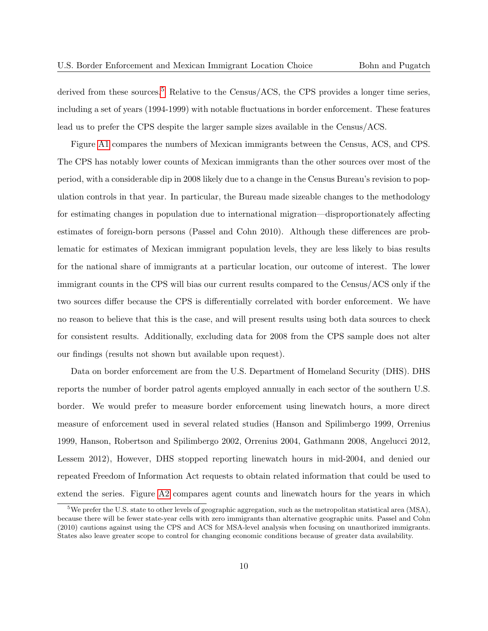derived from these sources.<sup>[5](#page-10-0)</sup> Relative to the Census/ACS, the CPS provides a longer time series, including a set of years (1994-1999) with notable fluctuations in border enforcement. These features lead us to prefer the CPS despite the larger sample sizes available in the Census/ACS.

Figure [A1](#page-39-0) compares the numbers of Mexican immigrants between the Census, ACS, and CPS. The CPS has notably lower counts of Mexican immigrants than the other sources over most of the period, with a considerable dip in 2008 likely due to a change in the Census Bureau's revision to population controls in that year. In particular, the Bureau made sizeable changes to the methodology for estimating changes in population due to international migration—disproportionately affecting estimates of foreign-born persons (Passel and Cohn 2010). Although these differences are problematic for estimates of Mexican immigrant population levels, they are less likely to bias results for the national share of immigrants at a particular location, our outcome of interest. The lower immigrant counts in the CPS will bias our current results compared to the Census/ACS only if the two sources differ because the CPS is differentially correlated with border enforcement. We have no reason to believe that this is the case, and will present results using both data sources to check for consistent results. Additionally, excluding data for 2008 from the CPS sample does not alter our findings (results not shown but available upon request).

Data on border enforcement are from the U.S. Department of Homeland Security (DHS). DHS reports the number of border patrol agents employed annually in each sector of the southern U.S. border. We would prefer to measure border enforcement using linewatch hours, a more direct measure of enforcement used in several related studies (Hanson and Spilimbergo 1999, Orrenius 1999, Hanson, Robertson and Spilimbergo 2002, Orrenius 2004, Gathmann 2008, Angelucci 2012, Lessem 2012), However, DHS stopped reporting linewatch hours in mid-2004, and denied our repeated Freedom of Information Act requests to obtain related information that could be used to extend the series. Figure [A2](#page-39-1) compares agent counts and linewatch hours for the years in which

<span id="page-10-0"></span><sup>&</sup>lt;sup>5</sup>We prefer the U.S. state to other levels of geographic aggregation, such as the metropolitan statistical area (MSA), because there will be fewer state-year cells with zero immigrants than alternative geographic units. Passel and Cohn (2010) cautions against using the CPS and ACS for MSA-level analysis when focusing on unauthorized immigrants. States also leave greater scope to control for changing economic conditions because of greater data availability.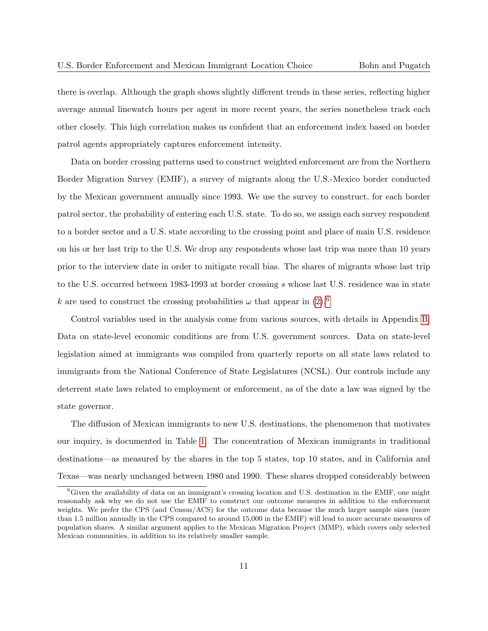there is overlap. Although the graph shows slightly different trends in these series, reflecting higher average annual linewatch hours per agent in more recent years, the series nonetheless track each other closely. This high correlation makes us confident that an enforcement index based on border patrol agents appropriately captures enforcement intensity.

Data on border crossing patterns used to construct weighted enforcement are from the Northern Border Migration Survey (EMIF), a survey of migrants along the U.S.-Mexico border conducted by the Mexican government annually since 1993. We use the survey to construct, for each border patrol sector, the probability of entering each U.S. state. To do so, we assign each survey respondent to a border sector and a U.S. state according to the crossing point and place of main U.S. residence on his or her last trip to the U.S. We drop any respondents whose last trip was more than 10 years prior to the interview date in order to mitigate recall bias. The shares of migrants whose last trip to the U.S. occurred between 1983-1993 at border crossing s whose last U.S. residence was in state k are used to construct the crossing probabilities  $\omega$  that appear in [\(2\)](#page-6-0).<sup>[6](#page-11-0)</sup>

Control variables used in the analysis come from various sources, with details in Appendix [B.](#page-26-0) Data on state-level economic conditions are from U.S. government sources. Data on state-level legislation aimed at immigrants was compiled from quarterly reports on all state laws related to immigrants from the National Conference of State Legislatures (NCSL). Our controls include any deterrent state laws related to employment or enforcement, as of the date a law was signed by the state governor.

The diffusion of Mexican immigrants to new U.S. destinations, the phenomenon that motivates our inquiry, is documented in Table [1.](#page-28-0) The concentration of Mexican immigrants in traditional destinations—as measured by the shares in the top 5 states, top 10 states, and in California and Texas—was nearly unchanged between 1980 and 1990. These shares dropped considerably between

<span id="page-11-0"></span> ${}^6$ Given the availability of data on an immigrant's crossing location and U.S. destination in the EMIF, one might reasonably ask why we do not use the EMIF to construct our outcome measures in addition to the enforcement weights. We prefer the CPS (and Census/ACS) for the outcome data because the much larger sample sizes (more than 1.5 million annually in the CPS compared to around 15,000 in the EMIF) will lead to more accurate measures of population shares. A similar argument applies to the Mexican Migration Project (MMP), which covers only selected Mexican communities, in addition to its relatively smaller sample.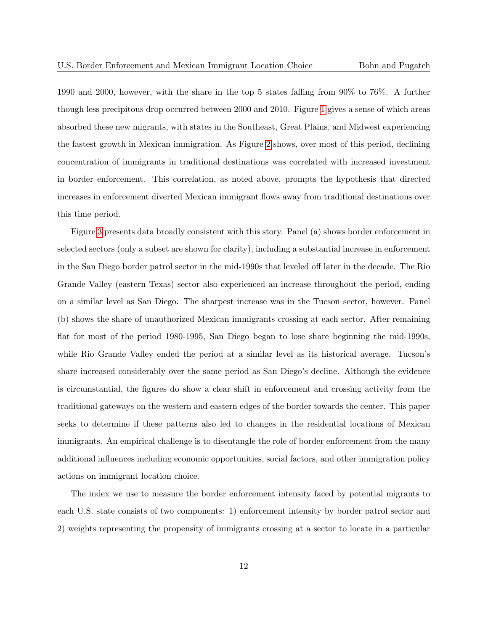1990 and 2000, however, with the share in the top 5 states falling from 90% to 76%. A further though less precipitous drop occurred between 2000 and 2010. Figure [1](#page-35-0) gives a sense of which areas absorbed these new migrants, with states in the Southeast, Great Plains, and Midwest experiencing the fastest growth in Mexican immigration. As Figure [2](#page-35-1) shows, over most of this period, declining concentration of immigrants in traditional destinations was correlated with increased investment in border enforcement. This correlation, as noted above, prompts the hypothesis that directed increases in enforcement diverted Mexican immigrant flows away from traditional destinations over this time period.

Figure [3](#page-36-0) presents data broadly consistent with this story. Panel (a) shows border enforcement in selected sectors (only a subset are shown for clarity), including a substantial increase in enforcement in the San Diego border patrol sector in the mid-1990s that leveled off later in the decade. The Rio Grande Valley (eastern Texas) sector also experienced an increase throughout the period, ending on a similar level as San Diego. The sharpest increase was in the Tucson sector, however. Panel (b) shows the share of unauthorized Mexican immigrants crossing at each sector. After remaining flat for most of the period 1980-1995, San Diego began to lose share beginning the mid-1990s, while Rio Grande Valley ended the period at a similar level as its historical average. Tucson's share increased considerably over the same period as San Diego's decline. Although the evidence is circumstantial, the figures do show a clear shift in enforcement and crossing activity from the traditional gateways on the western and eastern edges of the border towards the center. This paper seeks to determine if these patterns also led to changes in the residential locations of Mexican immigrants. An empirical challenge is to disentangle the role of border enforcement from the many additional influences including economic opportunities, social factors, and other immigration policy actions on immigrant location choice.

The index we use to measure the border enforcement intensity faced by potential migrants to each U.S. state consists of two components: 1) enforcement intensity by border patrol sector and 2) weights representing the propensity of immigrants crossing at a sector to locate in a particular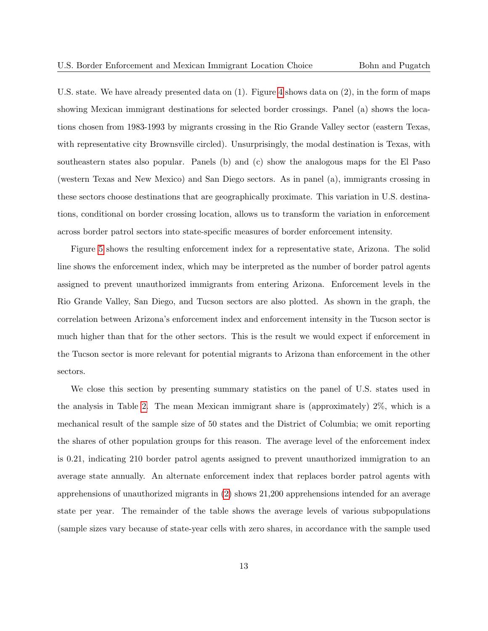U.S. state. We have already presented data on (1). Figure [4](#page-37-0) shows data on (2), in the form of maps showing Mexican immigrant destinations for selected border crossings. Panel (a) shows the locations chosen from 1983-1993 by migrants crossing in the Rio Grande Valley sector (eastern Texas, with representative city Brownsville circled). Unsurprisingly, the modal destination is Texas, with southeastern states also popular. Panels (b) and (c) show the analogous maps for the El Paso (western Texas and New Mexico) and San Diego sectors. As in panel (a), immigrants crossing in these sectors choose destinations that are geographically proximate. This variation in U.S. destinations, conditional on border crossing location, allows us to transform the variation in enforcement across border patrol sectors into state-specific measures of border enforcement intensity.

Figure [5](#page-38-0) shows the resulting enforcement index for a representative state, Arizona. The solid line shows the enforcement index, which may be interpreted as the number of border patrol agents assigned to prevent unauthorized immigrants from entering Arizona. Enforcement levels in the Rio Grande Valley, San Diego, and Tucson sectors are also plotted. As shown in the graph, the correlation between Arizona's enforcement index and enforcement intensity in the Tucson sector is much higher than that for the other sectors. This is the result we would expect if enforcement in the Tucson sector is more relevant for potential migrants to Arizona than enforcement in the other sectors.

We close this section by presenting summary statistics on the panel of U.S. states used in the analysis in Table [2.](#page-28-1) The mean Mexican immigrant share is (approximately) 2%, which is a mechanical result of the sample size of 50 states and the District of Columbia; we omit reporting the shares of other population groups for this reason. The average level of the enforcement index is 0.21, indicating 210 border patrol agents assigned to prevent unauthorized immigration to an average state annually. An alternate enforcement index that replaces border patrol agents with apprehensions of unauthorized migrants in [\(2\)](#page-6-0) shows 21,200 apprehensions intended for an average state per year. The remainder of the table shows the average levels of various subpopulations (sample sizes vary because of state-year cells with zero shares, in accordance with the sample used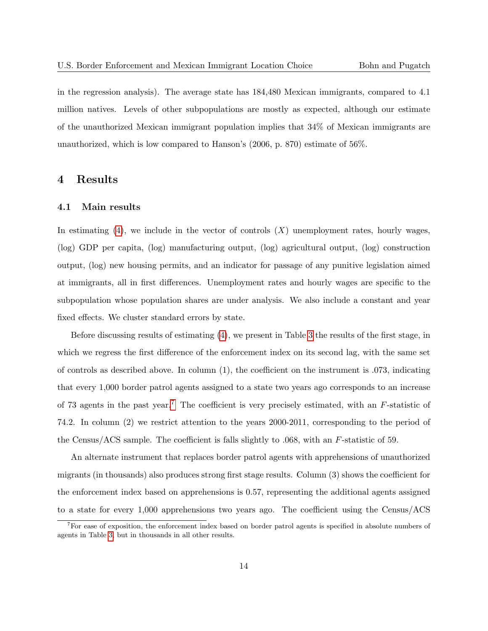in the regression analysis). The average state has 184,480 Mexican immigrants, compared to 4.1 million natives. Levels of other subpopulations are mostly as expected, although our estimate of the unauthorized Mexican immigrant population implies that 34% of Mexican immigrants are unauthorized, which is low compared to Hanson's (2006, p. 870) estimate of 56%.

### 4 Results

#### 4.1 Main results

In estimating  $(4)$ , we include in the vector of controls  $(X)$  unemployment rates, hourly wages, (log) GDP per capita, (log) manufacturing output, (log) agricultural output, (log) construction output, (log) new housing permits, and an indicator for passage of any punitive legislation aimed at immigrants, all in first differences. Unemployment rates and hourly wages are specific to the subpopulation whose population shares are under analysis. We also include a constant and year fixed effects. We cluster standard errors by state.

Before discussing results of estimating [\(4\)](#page-30-0), we present in Table [3](#page-29-0) the results of the first stage, in which we regress the first difference of the enforcement index on its second lag, with the same set of controls as described above. In column  $(1)$ , the coefficient on the instrument is .073, indicating that every 1,000 border patrol agents assigned to a state two years ago corresponds to an increase of [7](#page-14-0)3 agents in the past year.<sup>7</sup> The coefficient is very precisely estimated, with an  $F$ -statistic of 74.2. In column (2) we restrict attention to the years 2000-2011, corresponding to the period of the Census/ACS sample. The coefficient is falls slightly to .068, with an F-statistic of 59.

An alternate instrument that replaces border patrol agents with apprehensions of unauthorized migrants (in thousands) also produces strong first stage results. Column (3) shows the coefficient for the enforcement index based on apprehensions is 0.57, representing the additional agents assigned to a state for every 1,000 apprehensions two years ago. The coefficient using the Census/ACS

<span id="page-14-0"></span><sup>&</sup>lt;sup>7</sup>For ease of exposition, the enforcement index based on border patrol agents is specified in absolute numbers of agents in Table [3,](#page-29-0) but in thousands in all other results.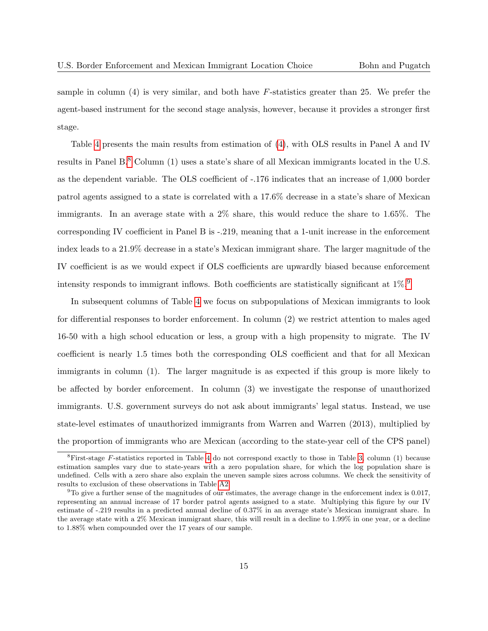sample in column  $(4)$  is very similar, and both have F-statistics greater than 25. We prefer the agent-based instrument for the second stage analysis, however, because it provides a stronger first stage.

Table [4](#page-30-0) presents the main results from estimation of [\(4\)](#page-30-0), with OLS results in Panel A and IV results in Panel B.<sup>[8](#page-15-0)</sup> Column (1) uses a state's share of all Mexican immigrants located in the U.S. as the dependent variable. The OLS coefficient of -.176 indicates that an increase of 1,000 border patrol agents assigned to a state is correlated with a 17.6% decrease in a state's share of Mexican immigrants. In an average state with a 2% share, this would reduce the share to 1.65%. The corresponding IV coefficient in Panel B is -.219, meaning that a 1-unit increase in the enforcement index leads to a 21.9% decrease in a state's Mexican immigrant share. The larger magnitude of the IV coefficient is as we would expect if OLS coefficients are upwardly biased because enforcement intensity responds to immigrant inflows. Both coefficients are statistically significant at  $1\%$ .<sup>[9](#page-15-1)</sup>

In subsequent columns of Table [4](#page-30-0) we focus on subpopulations of Mexican immigrants to look for differential responses to border enforcement. In column (2) we restrict attention to males aged 16-50 with a high school education or less, a group with a high propensity to migrate. The IV coefficient is nearly 1.5 times both the corresponding OLS coefficient and that for all Mexican immigrants in column (1). The larger magnitude is as expected if this group is more likely to be affected by border enforcement. In column (3) we investigate the response of unauthorized immigrants. U.S. government surveys do not ask about immigrants' legal status. Instead, we use state-level estimates of unauthorized immigrants from Warren and Warren (2013), multiplied by the proportion of immigrants who are Mexican (according to the state-year cell of the CPS panel)

<span id="page-15-0"></span><sup>&</sup>lt;sup>8</sup>First-stage F-statistics reported in Table [4](#page-30-0) do not correspond exactly to those in Table [3,](#page-29-0) column (1) because estimation samples vary due to state-years with a zero population share, for which the log population share is undefined. Cells with a zero share also explain the uneven sample sizes across columns. We check the sensitivity of results to exclusion of these observations in Table [A2.](#page-34-0)

<span id="page-15-1"></span> $9T_0$  give a further sense of the magnitudes of our estimates, the average change in the enforcement index is 0.017, representing an annual increase of 17 border patrol agents assigned to a state. Multiplying this figure by our IV estimate of -.219 results in a predicted annual decline of 0.37% in an average state's Mexican immigrant share. In the average state with a 2% Mexican immigrant share, this will result in a decline to 1.99% in one year, or a decline to 1.88% when compounded over the 17 years of our sample.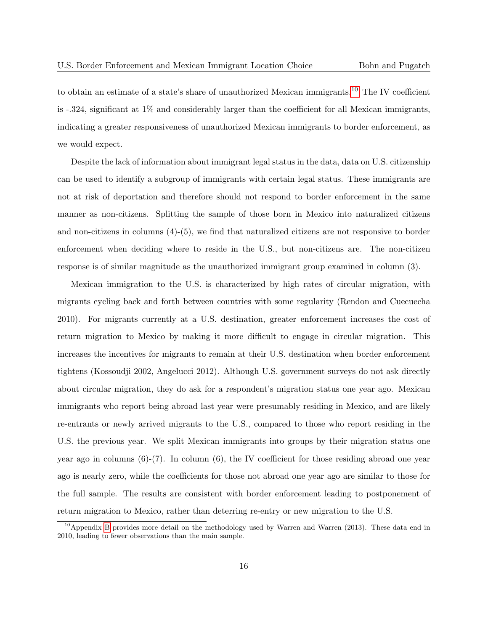to obtain an estimate of a state's share of unauthorized Mexican immigrants.[10](#page-16-0) The IV coefficient is -.324, significant at 1% and considerably larger than the coefficient for all Mexican immigrants, indicating a greater responsiveness of unauthorized Mexican immigrants to border enforcement, as we would expect.

Despite the lack of information about immigrant legal status in the data, data on U.S. citizenship can be used to identify a subgroup of immigrants with certain legal status. These immigrants are not at risk of deportation and therefore should not respond to border enforcement in the same manner as non-citizens. Splitting the sample of those born in Mexico into naturalized citizens and non-citizens in columns (4)-(5), we find that naturalized citizens are not responsive to border enforcement when deciding where to reside in the U.S., but non-citizens are. The non-citizen response is of similar magnitude as the unauthorized immigrant group examined in column (3).

Mexican immigration to the U.S. is characterized by high rates of circular migration, with migrants cycling back and forth between countries with some regularity (Rendon and Cuecuecha 2010). For migrants currently at a U.S. destination, greater enforcement increases the cost of return migration to Mexico by making it more difficult to engage in circular migration. This increases the incentives for migrants to remain at their U.S. destination when border enforcement tightens (Kossoudji 2002, Angelucci 2012). Although U.S. government surveys do not ask directly about circular migration, they do ask for a respondent's migration status one year ago. Mexican immigrants who report being abroad last year were presumably residing in Mexico, and are likely re-entrants or newly arrived migrants to the U.S., compared to those who report residing in the U.S. the previous year. We split Mexican immigrants into groups by their migration status one year ago in columns  $(6)-(7)$ . In column  $(6)$ , the IV coefficient for those residing abroad one year ago is nearly zero, while the coefficients for those not abroad one year ago are similar to those for the full sample. The results are consistent with border enforcement leading to postponement of return migration to Mexico, rather than deterring re-entry or new migration to the U.S.

<span id="page-16-0"></span><sup>&</sup>lt;sup>10</sup>Appendix [B](#page-26-0) provides more detail on the methodology used by Warren and Warren (2013). These data end in 2010, leading to fewer observations than the main sample.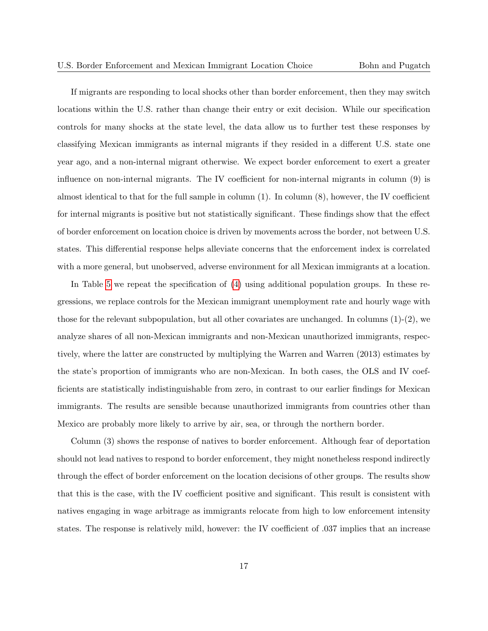If migrants are responding to local shocks other than border enforcement, then they may switch locations within the U.S. rather than change their entry or exit decision. While our specification controls for many shocks at the state level, the data allow us to further test these responses by classifying Mexican immigrants as internal migrants if they resided in a different U.S. state one year ago, and a non-internal migrant otherwise. We expect border enforcement to exert a greater influence on non-internal migrants. The IV coefficient for non-internal migrants in column (9) is almost identical to that for the full sample in column  $(1)$ . In column  $(8)$ , however, the IV coefficient for internal migrants is positive but not statistically significant. These findings show that the effect of border enforcement on location choice is driven by movements across the border, not between U.S. states. This differential response helps alleviate concerns that the enforcement index is correlated with a more general, but unobserved, adverse environment for all Mexican immigrants at a location.

In Table [5](#page-31-0) we repeat the specification of [\(4\)](#page-30-0) using additional population groups. In these regressions, we replace controls for the Mexican immigrant unemployment rate and hourly wage with those for the relevant subpopulation, but all other covariates are unchanged. In columns (1)-(2), we analyze shares of all non-Mexican immigrants and non-Mexican unauthorized immigrants, respectively, where the latter are constructed by multiplying the Warren and Warren (2013) estimates by the state's proportion of immigrants who are non-Mexican. In both cases, the OLS and IV coefficients are statistically indistinguishable from zero, in contrast to our earlier findings for Mexican immigrants. The results are sensible because unauthorized immigrants from countries other than Mexico are probably more likely to arrive by air, sea, or through the northern border.

Column (3) shows the response of natives to border enforcement. Although fear of deportation should not lead natives to respond to border enforcement, they might nonetheless respond indirectly through the effect of border enforcement on the location decisions of other groups. The results show that this is the case, with the IV coefficient positive and significant. This result is consistent with natives engaging in wage arbitrage as immigrants relocate from high to low enforcement intensity states. The response is relatively mild, however: the IV coefficient of .037 implies that an increase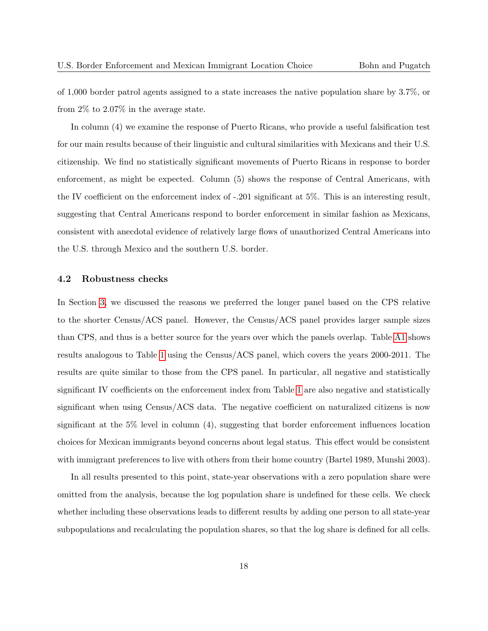of 1,000 border patrol agents assigned to a state increases the native population share by 3.7%, or from 2% to 2.07% in the average state.

In column (4) we examine the response of Puerto Ricans, who provide a useful falsification test for our main results because of their linguistic and cultural similarities with Mexicans and their U.S. citizenship. We find no statistically significant movements of Puerto Ricans in response to border enforcement, as might be expected. Column (5) shows the response of Central Americans, with the IV coefficient on the enforcement index of -.201 significant at 5%. This is an interesting result, suggesting that Central Americans respond to border enforcement in similar fashion as Mexicans, consistent with anecdotal evidence of relatively large flows of unauthorized Central Americans into the U.S. through Mexico and the southern U.S. border.

#### 4.2 Robustness checks

In Section [3,](#page-9-0) we discussed the reasons we preferred the longer panel based on the CPS relative to the shorter Census/ACS panel. However, the Census/ACS panel provides larger sample sizes than CPS, and thus is a better source for the years over which the panels overlap. Table [A1](#page-33-0) shows results analogous to Table [1](#page-28-0) using the Census/ACS panel, which covers the years 2000-2011. The results are quite similar to those from the CPS panel. In particular, all negative and statistically significant IV coefficients on the enforcement index from Table [1](#page-28-0) are also negative and statistically significant when using Census/ACS data. The negative coefficient on naturalized citizens is now significant at the  $5\%$  level in column  $(4)$ , suggesting that border enforcement influences location choices for Mexican immigrants beyond concerns about legal status. This effect would be consistent with immigrant preferences to live with others from their home country (Bartel 1989, Munshi 2003).

In all results presented to this point, state-year observations with a zero population share were omitted from the analysis, because the log population share is undefined for these cells. We check whether including these observations leads to different results by adding one person to all state-year subpopulations and recalculating the population shares, so that the log share is defined for all cells.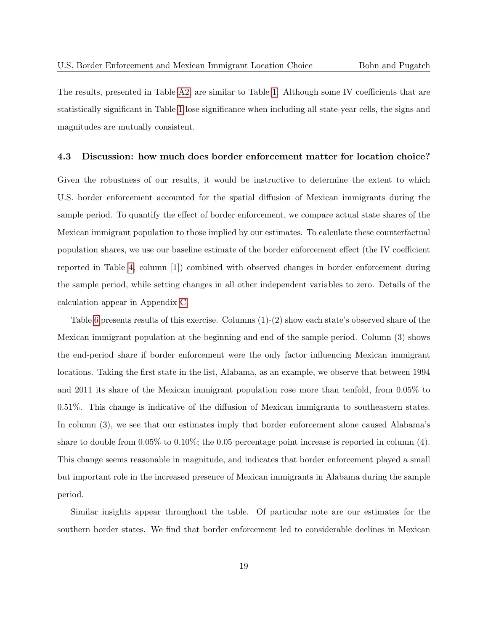The results, presented in Table [A2,](#page-34-0) are similar to Table [1.](#page-28-0) Although some IV coefficients that are statistically significant in Table [1](#page-28-0) lose significance when including all state-year cells, the signs and magnitudes are mutually consistent.

#### 4.3 Discussion: how much does border enforcement matter for location choice?

Given the robustness of our results, it would be instructive to determine the extent to which U.S. border enforcement accounted for the spatial diffusion of Mexican immigrants during the sample period. To quantify the effect of border enforcement, we compare actual state shares of the Mexican immigrant population to those implied by our estimates. To calculate these counterfactual population shares, we use our baseline estimate of the border enforcement effect (the IV coefficient reported in Table [4,](#page-30-0) column [1]) combined with observed changes in border enforcement during the sample period, while setting changes in all other independent variables to zero. Details of the calculation appear in Appendix [C.](#page-27-0)

Table [6](#page-32-0) presents results of this exercise. Columns (1)-(2) show each state's observed share of the Mexican immigrant population at the beginning and end of the sample period. Column (3) shows the end-period share if border enforcement were the only factor influencing Mexican immigrant locations. Taking the first state in the list, Alabama, as an example, we observe that between 1994 and 2011 its share of the Mexican immigrant population rose more than tenfold, from 0.05% to 0.51%. This change is indicative of the diffusion of Mexican immigrants to southeastern states. In column (3), we see that our estimates imply that border enforcement alone caused Alabama's share to double from  $0.05\%$  to  $0.10\%$ ; the 0.05 percentage point increase is reported in column (4). This change seems reasonable in magnitude, and indicates that border enforcement played a small but important role in the increased presence of Mexican immigrants in Alabama during the sample period.

Similar insights appear throughout the table. Of particular note are our estimates for the southern border states. We find that border enforcement led to considerable declines in Mexican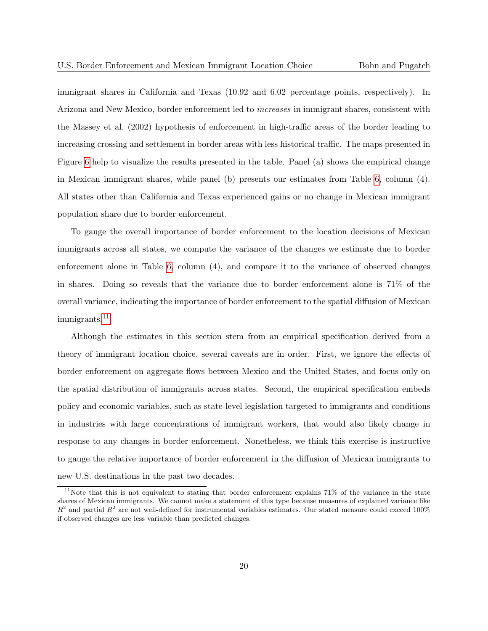immigrant shares in California and Texas (10.92 and 6.02 percentage points, respectively). In Arizona and New Mexico, border enforcement led to increases in immigrant shares, consistent with the Massey et al. (2002) hypothesis of enforcement in high-traffic areas of the border leading to increasing crossing and settlement in border areas with less historical traffic. The maps presented in Figure [6](#page-38-1) help to visualize the results presented in the table. Panel (a) shows the empirical change in Mexican immigrant shares, while panel (b) presents our estimates from Table [6,](#page-32-0) column (4). All states other than California and Texas experienced gains or no change in Mexican immigrant population share due to border enforcement.

To gauge the overall importance of border enforcement to the location decisions of Mexican immigrants across all states, we compute the variance of the changes we estimate due to border enforcement alone in Table [6,](#page-32-0) column (4), and compare it to the variance of observed changes in shares. Doing so reveals that the variance due to border enforcement alone is 71% of the overall variance, indicating the importance of border enforcement to the spatial diffusion of Mexican immigrants.<sup>[11](#page-20-0)</sup>

Although the estimates in this section stem from an empirical specification derived from a theory of immigrant location choice, several caveats are in order. First, we ignore the effects of border enforcement on aggregate flows between Mexico and the United States, and focus only on the spatial distribution of immigrants across states. Second, the empirical specification embeds policy and economic variables, such as state-level legislation targeted to immigrants and conditions in industries with large concentrations of immigrant workers, that would also likely change in response to any changes in border enforcement. Nonetheless, we think this exercise is instructive to gauge the relative importance of border enforcement in the diffusion of Mexican immigrants to new U.S. destinations in the past two decades.

<span id="page-20-0"></span><sup>&</sup>lt;sup>11</sup>Note that this is not equivalent to stating that border enforcement explains 71% of the variance in the state shares of Mexican immigrants. We cannot make a statement of this type because measures of explained variance like  $R^2$  and partial  $R^2$  are not well-defined for instrumental variables estimates. Our stated measure could exceed 100% if observed changes are less variable than predicted changes.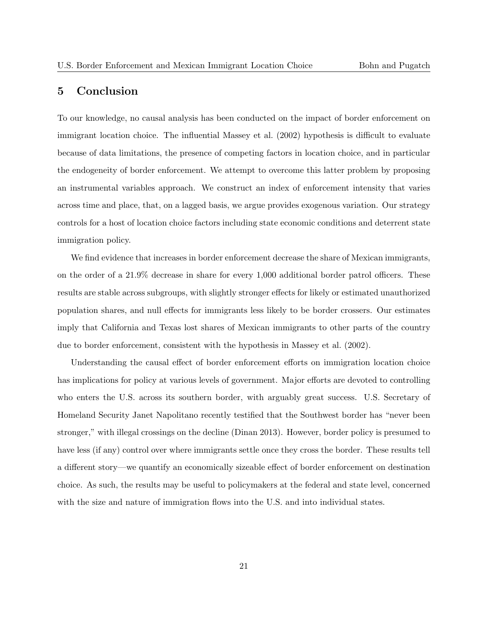# 5 Conclusion

To our knowledge, no causal analysis has been conducted on the impact of border enforcement on immigrant location choice. The influential Massey et al. (2002) hypothesis is difficult to evaluate because of data limitations, the presence of competing factors in location choice, and in particular the endogeneity of border enforcement. We attempt to overcome this latter problem by proposing an instrumental variables approach. We construct an index of enforcement intensity that varies across time and place, that, on a lagged basis, we argue provides exogenous variation. Our strategy controls for a host of location choice factors including state economic conditions and deterrent state immigration policy.

We find evidence that increases in border enforcement decrease the share of Mexican immigrants, on the order of a 21.9% decrease in share for every 1,000 additional border patrol officers. These results are stable across subgroups, with slightly stronger effects for likely or estimated unauthorized population shares, and null effects for immigrants less likely to be border crossers. Our estimates imply that California and Texas lost shares of Mexican immigrants to other parts of the country due to border enforcement, consistent with the hypothesis in Massey et al. (2002).

Understanding the causal effect of border enforcement efforts on immigration location choice has implications for policy at various levels of government. Major efforts are devoted to controlling who enters the U.S. across its southern border, with arguably great success. U.S. Secretary of Homeland Security Janet Napolitano recently testified that the Southwest border has "never been stronger," with illegal crossings on the decline (Dinan 2013). However, border policy is presumed to have less (if any) control over where immigrants settle once they cross the border. These results tell a different story—we quantify an economically sizeable effect of border enforcement on destination choice. As such, the results may be useful to policymakers at the federal and state level, concerned with the size and nature of immigration flows into the U.S. and into individual states.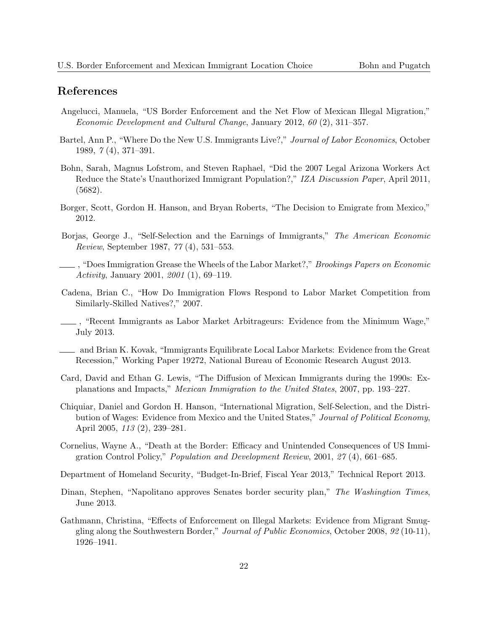# References

- Angelucci, Manuela, "US Border Enforcement and the Net Flow of Mexican Illegal Migration," Economic Development and Cultural Change, January 2012, 60 (2), 311–357.
- Bartel, Ann P., "Where Do the New U.S. Immigrants Live?," Journal of Labor Economics, October 1989, 7 (4), 371–391.
- Bohn, Sarah, Magnus Lofstrom, and Steven Raphael, "Did the 2007 Legal Arizona Workers Act Reduce the State's Unauthorized Immigrant Population?," IZA Discussion Paper, April 2011, (5682).
- Borger, Scott, Gordon H. Hanson, and Bryan Roberts, "The Decision to Emigrate from Mexico," 2012.
- Borjas, George J., "Self-Selection and the Earnings of Immigrants," The American Economic Review, September 1987, 77 (4), 531–553.
- , "Does Immigration Grease the Wheels of the Labor Market?," Brookings Papers on Economic Activity, January 2001, 2001 (1), 69–119.
- Cadena, Brian C., "How Do Immigration Flows Respond to Labor Market Competition from Similarly-Skilled Natives?," 2007.
- , "Recent Immigrants as Labor Market Arbitrageurs: Evidence from the Minimum Wage," July 2013.
- and Brian K. Kovak, "Immigrants Equilibrate Local Labor Markets: Evidence from the Great Recession," Working Paper 19272, National Bureau of Economic Research August 2013.
- Card, David and Ethan G. Lewis, "The Diffusion of Mexican Immigrants during the 1990s: Explanations and Impacts," Mexican Immigration to the United States, 2007, pp. 193–227.
- Chiquiar, Daniel and Gordon H. Hanson, "International Migration, Self-Selection, and the Distribution of Wages: Evidence from Mexico and the United States," Journal of Political Economy, April 2005, 113 (2), 239–281.
- Cornelius, Wayne A., "Death at the Border: Efficacy and Unintended Consequences of US Immigration Control Policy," Population and Development Review, 2001, 27 (4), 661–685.

Department of Homeland Security, "Budget-In-Brief, Fiscal Year 2013," Technical Report 2013.

- Dinan, Stephen, "Napolitano approves Senates border security plan," The Washingtion Times, June 2013.
- Gathmann, Christina, "Effects of Enforcement on Illegal Markets: Evidence from Migrant Smuggling along the Southwestern Border," Journal of Public Economics, October 2008, 92 (10-11), 1926–1941.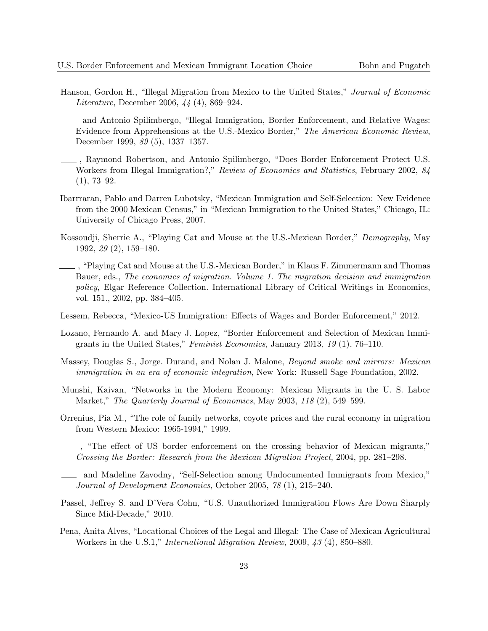- Hanson, Gordon H., "Illegal Migration from Mexico to the United States," Journal of Economic Literature, December 2006, 44 (4), 869–924.
	- and Antonio Spilimbergo, "Illegal Immigration, Border Enforcement, and Relative Wages: Evidence from Apprehensions at the U.S.-Mexico Border," The American Economic Review, December 1999, 89 (5), 1337–1357.
- , Raymond Robertson, and Antonio Spilimbergo, "Does Border Enforcement Protect U.S. Workers from Illegal Immigration?," Review of Economics and Statistics, February 2002, 84  $(1), 73-92.$
- Ibarrraran, Pablo and Darren Lubotsky, "Mexican Immigration and Self-Selection: New Evidence from the 2000 Mexican Census," in "Mexican Immigration to the United States," Chicago, IL: University of Chicago Press, 2007.
- Kossoudji, Sherrie A., "Playing Cat and Mouse at the U.S.-Mexican Border," Demography, May 1992, 29 (2), 159–180.
- , "Playing Cat and Mouse at the U.S.-Mexican Border," in Klaus F. Zimmermann and Thomas Bauer, eds., The economics of migration. Volume 1. The migration decision and immigration policy, Elgar Reference Collection. International Library of Critical Writings in Economics, vol. 151., 2002, pp. 384–405.
- Lessem, Rebecca, "Mexico-US Immigration: Effects of Wages and Border Enforcement," 2012.
- Lozano, Fernando A. and Mary J. Lopez, "Border Enforcement and Selection of Mexican Immigrants in the United States," Feminist Economics, January 2013, 19 (1), 76–110.
- Massey, Douglas S., Jorge. Durand, and Nolan J. Malone, Beyond smoke and mirrors: Mexican immigration in an era of economic integration, New York: Russell Sage Foundation, 2002.
- Munshi, Kaivan, "Networks in the Modern Economy: Mexican Migrants in the U. S. Labor Market," The Quarterly Journal of Economics, May 2003, 118 (2), 549–599.
- Orrenius, Pia M., "The role of family networks, coyote prices and the rural economy in migration from Western Mexico: 1965-1994," 1999.
- , "The effect of US border enforcement on the crossing behavior of Mexican migrants," Crossing the Border: Research from the Mexican Migration Project, 2004, pp. 281–298.
- and Madeline Zavodny, "Self-Selection among Undocumented Immigrants from Mexico," Journal of Development Economics, October 2005, 78 (1), 215–240.
- Passel, Jeffrey S. and D'Vera Cohn, "U.S. Unauthorized Immigration Flows Are Down Sharply Since Mid-Decade," 2010.
- Pena, Anita Alves, "Locational Choices of the Legal and Illegal: The Case of Mexican Agricultural Workers in the U.S.1," International Migration Review, 2009, 43 (4), 850–880.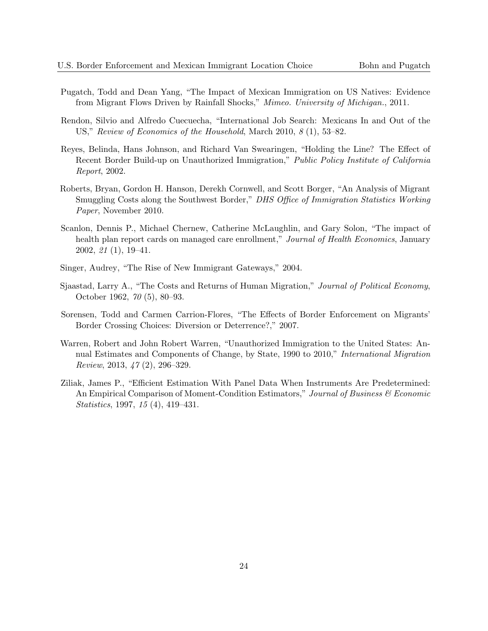- Pugatch, Todd and Dean Yang, "The Impact of Mexican Immigration on US Natives: Evidence from Migrant Flows Driven by Rainfall Shocks," Mimeo. University of Michigan., 2011.
- Rendon, Silvio and Alfredo Cuecuecha, "International Job Search: Mexicans In and Out of the US," Review of Economics of the Household, March 2010, 8 (1), 53–82.
- Reyes, Belinda, Hans Johnson, and Richard Van Swearingen, "Holding the Line? The Effect of Recent Border Build-up on Unauthorized Immigration," Public Policy Institute of California Report, 2002.
- Roberts, Bryan, Gordon H. Hanson, Derekh Cornwell, and Scott Borger, "An Analysis of Migrant Smuggling Costs along the Southwest Border," DHS Office of Immigration Statistics Working Paper, November 2010.
- Scanlon, Dennis P., Michael Chernew, Catherine McLaughlin, and Gary Solon, "The impact of health plan report cards on managed care enrollment," Journal of Health Economics, January 2002, 21 (1), 19–41.
- Singer, Audrey, "The Rise of New Immigrant Gateways," 2004.
- Sjaastad, Larry A., "The Costs and Returns of Human Migration," Journal of Political Economy, October 1962, 70 (5), 80–93.
- Sorensen, Todd and Carmen Carrion-Flores, "The Effects of Border Enforcement on Migrants' Border Crossing Choices: Diversion or Deterrence?," 2007.
- Warren, Robert and John Robert Warren, "Unauthorized Immigration to the United States: Annual Estimates and Components of Change, by State, 1990 to 2010," International Migration Review, 2013, 47 (2), 296–329.
- Ziliak, James P., "Efficient Estimation With Panel Data When Instruments Are Predetermined: An Empirical Comparison of Moment-Condition Estimators," Journal of Business  $\mathcal C$  Economic Statistics, 1997, 15 (4), 419–431.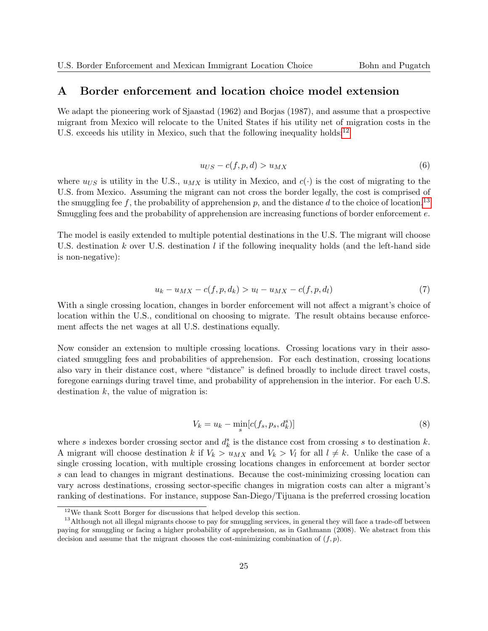### <span id="page-25-0"></span>A Border enforcement and location choice model extension

We adapt the pioneering work of Sjaastad (1962) and Borjas (1987), and assume that a prospective migrant from Mexico will relocate to the United States if his utility net of migration costs in the U.S. exceeds his utility in Mexico, such that the following inequality holds:<sup>[12](#page-25-1)</sup>

$$
u_{US} - c(f, p, d) > u_{MX} \tag{6}
$$

where  $u_{US}$  is utility in the U.S.,  $u_{MX}$  is utility in Mexico, and  $c(\cdot)$  is the cost of migrating to the U.S. from Mexico. Assuming the migrant can not cross the border legally, the cost is comprised of the smuggling fee f, the probability of apprehension p, and the distance d to the choice of location.<sup>[13](#page-25-2)</sup> Smuggling fees and the probability of apprehension are increasing functions of border enforcement e.

The model is easily extended to multiple potential destinations in the U.S. The migrant will choose U.S. destination k over U.S. destination l if the following inequality holds (and the left-hand side is non-negative):

$$
u_k - u_{MX} - c(f, p, d_k) > u_l - u_{MX} - c(f, p, d_l)
$$
\n(7)

With a single crossing location, changes in border enforcement will not affect a migrant's choice of location within the U.S., conditional on choosing to migrate. The result obtains because enforcement affects the net wages at all U.S. destinations equally.

Now consider an extension to multiple crossing locations. Crossing locations vary in their associated smuggling fees and probabilities of apprehension. For each destination, crossing locations also vary in their distance cost, where "distance" is defined broadly to include direct travel costs, foregone earnings during travel time, and probability of apprehension in the interior. For each U.S. destination  $k$ , the value of migration is:

<span id="page-25-3"></span>
$$
V_k = u_k - \min_s[c(f_s, p_s, d_k^s)]
$$
\n(8)

where s indexes border crossing sector and  $d_k^s$  is the distance cost from crossing s to destination k. A migrant will choose destination k if  $V_k > u_{MX}$  and  $V_k > V_l$  for all  $l \neq k$ . Unlike the case of a single crossing location, with multiple crossing locations changes in enforcement at border sector s can lead to changes in migrant destinations. Because the cost-minimizing crossing location can vary across destinations, crossing sector-specific changes in migration costs can alter a migrant's ranking of destinations. For instance, suppose San-Diego/Tijuana is the preferred crossing location

<span id="page-25-2"></span><span id="page-25-1"></span><sup>12</sup>We thank Scott Borger for discussions that helped develop this section.

<sup>&</sup>lt;sup>13</sup>Although not all illegal migrants choose to pay for smuggling services, in general they will face a trade-off between paying for smuggling or facing a higher probability of apprehension, as in Gathmann (2008). We abstract from this decision and assume that the migrant chooses the cost-minimizing combination of  $(f, p)$ .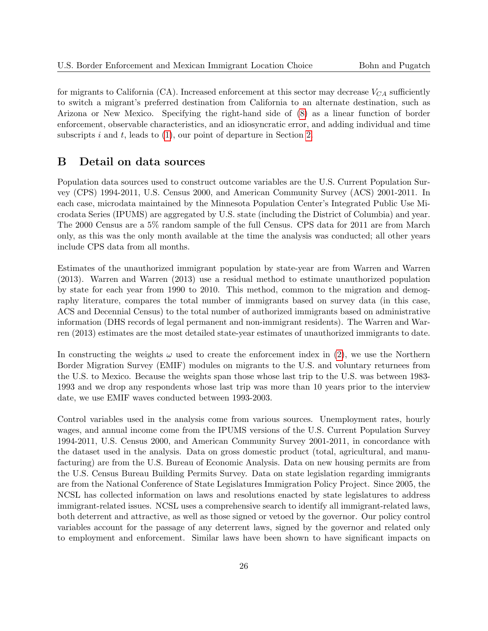for migrants to California (CA). Increased enforcement at this sector may decrease  $V_{CA}$  sufficiently to switch a migrant's preferred destination from California to an alternate destination, such as Arizona or New Mexico. Specifying the right-hand side of [\(8\)](#page-25-3) as a linear function of border enforcement, observable characteristics, and an idiosyncratic error, and adding individual and time subscripts  $i$  and  $t$ , leads to  $(1)$ , our point of departure in Section [2.](#page-4-2)

# <span id="page-26-0"></span>B Detail on data sources

Population data sources used to construct outcome variables are the U.S. Current Population Survey (CPS) 1994-2011, U.S. Census 2000, and American Community Survey (ACS) 2001-2011. In each case, microdata maintained by the Minnesota Population Center's Integrated Public Use Microdata Series (IPUMS) are aggregated by U.S. state (including the District of Columbia) and year. The 2000 Census are a 5% random sample of the full Census. CPS data for 2011 are from March only, as this was the only month available at the time the analysis was conducted; all other years include CPS data from all months.

Estimates of the unauthorized immigrant population by state-year are from Warren and Warren (2013). Warren and Warren (2013) use a residual method to estimate unauthorized population by state for each year from 1990 to 2010. This method, common to the migration and demography literature, compares the total number of immigrants based on survey data (in this case, ACS and Decennial Census) to the total number of authorized immigrants based on administrative information (DHS records of legal permanent and non-immigrant residents). The Warren and Warren (2013) estimates are the most detailed state-year estimates of unauthorized immigrants to date.

In constructing the weights  $\omega$  used to create the enforcement index in [\(2\)](#page-6-0), we use the Northern Border Migration Survey (EMIF) modules on migrants to the U.S. and voluntary returnees from the U.S. to Mexico. Because the weights span those whose last trip to the U.S. was between 1983- 1993 and we drop any respondents whose last trip was more than 10 years prior to the interview date, we use EMIF waves conducted between 1993-2003.

Control variables used in the analysis come from various sources. Unemployment rates, hourly wages, and annual income come from the IPUMS versions of the U.S. Current Population Survey 1994-2011, U.S. Census 2000, and American Community Survey 2001-2011, in concordance with the dataset used in the analysis. Data on gross domestic product (total, agricultural, and manufacturing) are from the U.S. Bureau of Economic Analysis. Data on new housing permits are from the U.S. Census Bureau Building Permits Survey. Data on state legislation regarding immigrants are from the National Conference of State Legislatures Immigration Policy Project. Since 2005, the NCSL has collected information on laws and resolutions enacted by state legislatures to address immigrant-related issues. NCSL uses a comprehensive search to identify all immigrant-related laws, both deterrent and attractive, as well as those signed or vetoed by the governor. Our policy control variables account for the passage of any deterrent laws, signed by the governor and related only to employment and enforcement. Similar laws have been shown to have significant impacts on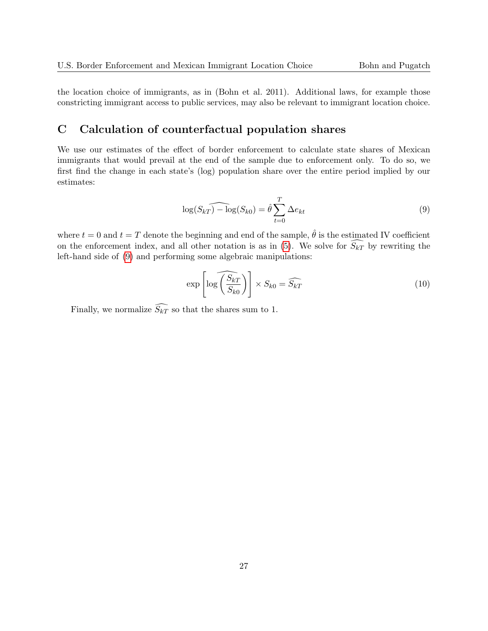the location choice of immigrants, as in (Bohn et al. 2011). Additional laws, for example those constricting immigrant access to public services, may also be relevant to immigrant location choice.

# <span id="page-27-0"></span>C Calculation of counterfactual population shares

We use our estimates of the effect of border enforcement to calculate state shares of Mexican immigrants that would prevail at the end of the sample due to enforcement only. To do so, we first find the change in each state's (log) population share over the entire period implied by our estimates:

<span id="page-27-1"></span>
$$
\log(S_{kT}) - \log(S_{k0}) = \hat{\theta} \sum_{t=0}^{T} \Delta e_{kt}
$$
\n(9)

where  $t = 0$  and  $t = T$  denote the beginning and end of the sample,  $\hat{\theta}$  is the estimated IV coefficient on the enforcement index, and all other notation is as in [\(5\)](#page-7-0). We solve for  $\widehat{S_{kT}}$  by rewriting the left-hand side of [\(9\)](#page-27-1) and performing some algebraic manipulations:

$$
\exp\left[\log\left(\frac{\widehat{S_{kT}}}{S_{k0}}\right)\right] \times S_{k0} = \widehat{S_{kT}}\tag{10}
$$

Finally, we normalize  $\widehat{S_{kT}}$  so that the shares sum to 1.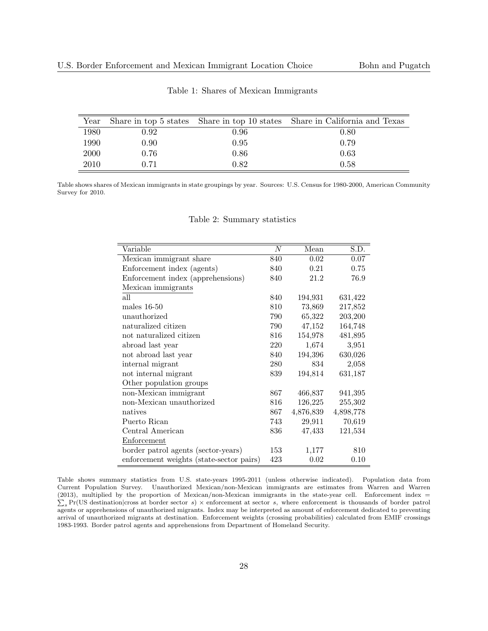<span id="page-28-0"></span>

|      |      |      | Year Share in top 5 states Share in top 10 states Share in California and Texas |
|------|------|------|---------------------------------------------------------------------------------|
| 1980 | 0.92 | 0.96 | 0.80                                                                            |
| 1990 | 0.90 | 0.95 | 0.79                                                                            |
| 2000 | 0.76 | 0.86 | 0.63                                                                            |
| 2010 | 0.71 | 0.82 | 0.58                                                                            |

Table 1: Shares of Mexican Immigrants

<span id="page-28-1"></span>Table shows shares of Mexican immigrants in state groupings by year. Sources: U.S. Census for 1980-2000, American Community Survey for 2010.

| Variable                                 | $\boldsymbol{N}$ | Mean      | S.D.      |
|------------------------------------------|------------------|-----------|-----------|
| Mexican immigrant share                  | 840              | 0.02      | 0.07      |
| Enforcement index (agents)               | 840              | 0.21      | 0.75      |
| Enforcement index (apprehensions)        | 840              | 21.2      | 76.9      |
| Mexican immigrants                       |                  |           |           |
| all                                      | 840              | 194,931   | 631,422   |
| males $16-50$                            | 810              | 73,869    | 217,852   |
| unauthorized                             | 790              | 65,322    | 203,200   |
| naturalized citizen                      | 790              | 47,152    | 164,748   |
| not naturalized citizen                  | 816              | 154,978   | 481,895   |
| abroad last year                         | 220              | 1,674     | 3,951     |
| not abroad last year                     | 840              | 194,396   | 630,026   |
| internal migrant                         | 280              | 834       | 2,058     |
| not internal migrant                     | 839              | 194,814   | 631,187   |
| Other population groups                  |                  |           |           |
| non-Mexican immigrant                    | 867              | 466,837   | 941,395   |
| non-Mexican unauthorized                 | 816              | 126,225   | 255,302   |
| natives                                  | 867              | 4,876,839 | 4,898,778 |
| Puerto Rican                             | 743              | 29,911    | 70,619    |
| Central American                         | 836              | 47,433    | 121,534   |
| Enforcement                              |                  |           |           |
| border patrol agents (sector-years)      | 153              | 1,177     | 810       |
| enforcement weights (state-sector pairs) | 423              | 0.02      | 0.10      |

Table 2: Summary statistics

Table shows summary statistics from U.S. state-years 1995-2011 (unless otherwise indicated). Population data from Current Population Survey. Unauthorized Mexican/non-Mexican immigrants are estimates from Warren and Warren (2013), multiplied by the proportion of Mexican/non-Mexican immigrants in the state-year cell. Enforcement index =  $\sum_s$  Pr(US destination|cross at border sector s)  $\times$  enforcement at sector s, where enforcement is thousands of border patrol agents or apprehensions of unauthorized migrants. Index may be interpreted as amount of enforcement dedicated to preventing arrival of unauthorized migrants at destination. Enforcement weights (crossing probabilities) calculated from EMIF crossings 1983-1993. Border patrol agents and apprehensions from Department of Homeland Security.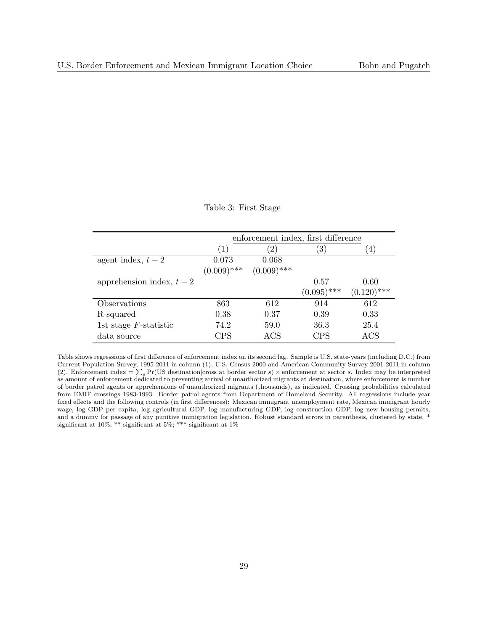#### Table 3: First Stage

<span id="page-29-0"></span>

|                           |               | enforcement index, first difference |                  |               |
|---------------------------|---------------|-------------------------------------|------------------|---------------|
|                           | (1)           | $\left(2\right)$                    | $\left(3\right)$ | 4             |
| agent index, $t-2$        | 0.073         | 0.068                               |                  |               |
|                           | $(0.009)$ *** | $(0.009)$ ***                       |                  |               |
| apprehension index, $t-2$ |               |                                     | 0.57             | 0.60          |
|                           |               |                                     | $(0.095)$ ***    | $(0.120)$ *** |
| Observations              | 863           | 612                                 | 914              | 612           |
| R-squared                 | 0.38          | 0.37                                | 0.39             | 0.33          |
| 1st stage $F$ -statistic  | 74.2          | 59.0                                | 36.3             | 25.4          |
| data source               | CPS           | $\rm ACS$                           | <b>CPS</b>       | $\rm ACS$     |

Table shows regressions of first difference of enforcement index on its second lag. Sample is U.S. state-years (including D.C.) from Current Population Survey, 1995-2011 in column (1), U.S. Census 2000 and American Community Survey 2001-2011 in column (2). Enforcement index  $=\sum_s \Pr(\text{US destination}|\text{cross at border sector } s) \times \text{enforcement at sector } s$ . Index may be interpreted as amount of enforcement dedicated to preventing arrival of unauthorized migrants at destination, where enforcement is number of border patrol agents or apprehensions of unauthorized migrants (thousands), as indicated. Crossing probabilities calculated from EMIF crossings 1983-1993. Border patrol agents from Department of Homeland Security. All regressions include year fixed effects and the following controls (in first differences): Mexican immigrant unemployment rate, Mexican immigrant hourly wage, log GDP per capita, log agricultural GDP, log manufacturing GDP, log construction GDP, log new housing permits, and a dummy for passage of any punitive immigration legislation. Robust standard errors in parenthesis, clustered by state. \* significant at 10%; \*\* significant at 5%; \*\*\* significant at 1%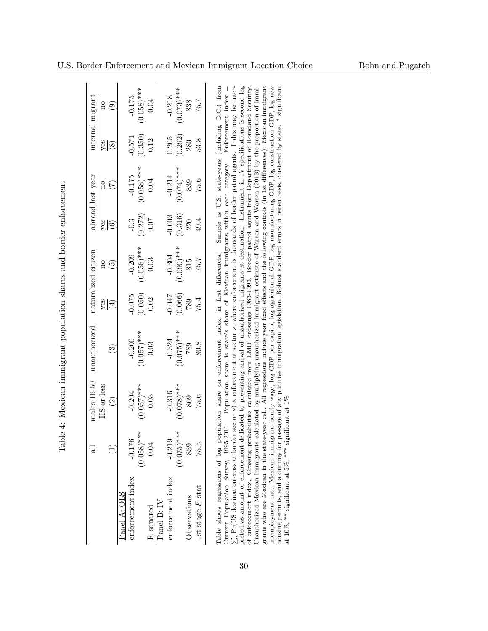<span id="page-30-0"></span>

| thorough incorrection to change in a complete the complete or and incorrection of the complete or and the complete orient of the complete orient of the complete orient of the complete orient of the complete orient of the c<br>י<br>ו |  |
|------------------------------------------------------------------------------------------------------------------------------------------------------------------------------------------------------------------------------------------|--|
|                                                                                                                                                                                                                                          |  |
| )<br> <br> <br> <br>                                                                                                                                                                                                                     |  |
|                                                                                                                                                                                                                                          |  |
|                                                                                                                                                                                                                                          |  |
|                                                                                                                                                                                                                                          |  |
| ֖֖֖֧֖֖֧֪֪ׅ֖֧֪֪ׅ֖֧֪֪֪֪֪֪֪֪֪֪֪֪֪֪֪֪֪֪֪֪֪֪֪֪֪֪֪֪֪֪֚֚֚֚֚֚֚֚֚֚֚֚֚֚֚֚֚֚֚֚֚֚֚֚֚֚֡֬֝֝֝֝֝<br>ı<br>$\ddot{\phantom{0}}$<br>I<br>l                                                                                                                  |  |

|                   | ಷ             | $males 16-50$ | unauthorized    |               | naturalized citizen |                     | abroad last year        |              | internal migrant |
|-------------------|---------------|---------------|-----------------|---------------|---------------------|---------------------|-------------------------|--------------|------------------|
|                   |               | HS or less    |                 |               |                     |                     | $\overline{\mathbf{q}}$ |              | $\frac{1}{2}$    |
|                   |               | $\widehat{S}$ | ಄               | $\frac{1}{2}$ | $\frac{2}{5}$       | $rac{60}{\sqrt{6}}$ | $(\overline{z})$        | $rac{26}{8}$ | $\odot$          |
| Panel A: OLS      |               |               |                 |               |                     |                     |                         |              |                  |
| enforcement index | $-0.176$      | $-0.204$      | $-0.200$        | $-0.075$      | $-0.209$            | $-0.3$              | $-0.175$                | $-0.571$     | $-0.175$         |
|                   | $(0.058)$ *** | $(0.057)$ *** | $(0.057)^{***}$ | (0.050)       | $(0.056)$ ***       | (0.272)             | $(0.058)$ ***           | (0.350)      | $(0.058)$ ***    |
| R-squared         | 0.04          | 0.03          | 0.03            | 0.02          | 0.03                | 0.07                | 0.04                    | 0.12         | 0.04             |
| Panel B: IV       |               |               |                 |               |                     |                     |                         |              |                  |
| enforcement index | $-0.219$      | $-0.316$      | $-0.324$        | $-0.047$      | $-0.304$            | $-0.003$            | $-0.214$                | 0.205        | $-0.218$         |
|                   | $(0.075)$ *** | $(0.078)$ *** | $(0.075)$ ***   | (0.066)       | $(0.090)***$        | (0.316)             | $(0.074)$ ***           | (0.292)      | $(0.073)$ ***    |
| Observations      | 839           | 809           | 789             | $682$         | $815$               | 220                 | 839                     | 280          | 838              |
| 1st stage F-stat  | 75.6          | 75.6          | 80.8            | 75.4          | 75.7                | 49.4                | 75.6                    | 53.8         | 75.7             |

of enforcement index. Crossing probabilities calculated from EMIF crossings 1983-1993. Border patrol agents from Department of Homeland Security.<br>Unauthorized Mexican immigrants calculated by multiplying unauthorized immig unemployment rate, Mexican immigrant hourly wage, log GDP per capita, log agricultural GDP, log manufacturing GDP, log construction GDP, log new<br>housing permits, and a dummy for passage of any punitive immigration legislat Current Population Survey, 1995-2011. Population share is state's share of Mexican immigrants within each category. Enforcement index =  $\sum_{s} Pr(US$  destination cross at border sector s) x enforcement at sector s, where enf  $\Pr(\text{US destination}|\text{cross at border sector } s) \times \text{enforcement at sector } s$ , where enforcement is thousands of border patrol agents. Index may be interpreted as amount of enforcement dedicated to preventing arrival of unauthorized migrants at destination. Instrument in IV specifications is second lag of enforcement index. Crossing probabilities calculated from EMIF crossings 1983-1993. Border patrol agents from Department of Homeland Security. Unauthorized Mexican immigrants calculated by multiplying unauthorized immigrant estimate of Warren and Warren (2013) by the proportion of immigrants who are Mexican in the state-year cell. All regressions include year fixed effects and the following controls (in 1st differences): Mexican immigrant unemployment rate, Mexican immigrant hourly wage, log GDP per capita, log agricultural GDP, log manufacturing GDP, log construction GDP, log new housing permits, and a dummy for passage of any punitive immigration legislation. Robust standard errors in parenthesis, clustered by state. \* significant at 10%; \*\* significant at 5%; \*\*\* significant at 1%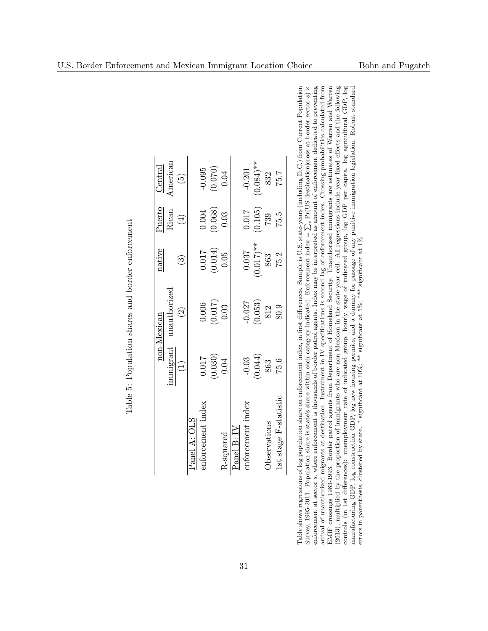| $\frac{\text{Central}}{\text{Initial}}$ | American    | $\widetilde{\mathfrak{G}}$ |              |                   | $\begin{array}{c} -0.095 \\ (0.070) \\ 0.04 \end{array}$   |                  |                  | $-0.201$              | $(0.084)$ **                    | 832         | 75.7                |
|-----------------------------------------|-------------|----------------------------|--------------|-------------------|------------------------------------------------------------|------------------|------------------|-----------------------|---------------------------------|-------------|---------------------|
| otrio                                   | Rican       | $\tag{4}$                  |              |                   | $\begin{array}{c} 0.004 \\ 0.068 \end{array}$<br>$(0.068)$ |                  |                  | 0.017                 | $(105)$<br>739                  |             | 75.5                |
| native                                  |             | ဇြ                         |              |                   | $\begin{array}{c} 0.017 \\ (0.014) \\ 0.05 \end{array}$    |                  |                  | 0.037                 | $(0.017)$ **                    | 863         | 75.2                |
| non-Mexican                             | mauthorized | $\widehat{\mathfrak{O}}$   |              |                   | $\binom{0.006}{0.017}$                                     |                  |                  |                       | $\frac{-0.027}{(0.053)}$<br>812 |             | 80.9                |
|                                         | amigrant    | $\widehat{\Xi}$            |              |                   | $\begin{array}{c} 0.017 \\ 0.030) \\ 0.04 \end{array}$     |                  |                  | $-0.03$               | $\frac{0.044}{863}$             |             | 75.6                |
|                                         |             |                            | Panel A: OLS | enforcement index |                                                            | <b>R-squared</b> | $P$ anel B: $IV$ | index<br>enforcement; |                                 | bservations | st stage F-statisti |

<span id="page-31-0"></span>Table 5: Population shares and border enforcement

EMIF crossings 1983-1993. Border patrol agents from Department of Homeland Security. Unauthorized immigrants are estimates of Warren and Warren (2013), multiplied by the proportion of immigrants who are non-Mexican in the state-year cell. All regressions include year fixed effects and the following controls (in 1st differences): unemployment rate of indicated group, houtly wage of indicated group, log GDP per capita, log agricultural GDP, log manufacturing GDP, log construction GDP, log new housing permits, and a du Table shows regressions of log population share on enforcement index, in first differences. Sample is U.S. state-years (including D.C.) from Current Population Table shows regressions of log population share on enforcement index, in first differences. Sample is U.S. state-years (including D.C.) from Current Population<br>Survey, 1995-2011. Population share is state's share within e  $\sum_{s} Pr(US \text{ destination}|\text{cross at border sector } s) \times$ enforcement at sector s, where enforcement is thousands of border patrol agents. Index may be interpreted as amount of enforcement dedicated to preventing arrival of unauthorized migrants at destination. Instrument in IV specifications is second lag of enforcement index. Crossing probabilities calculated from<br>PMTP amoutions 1009 1009 Poular potential count from Decourtment o EMIF crossings 1983-1993. Border patrol agents from Department of Homeland Security. Unauthorized immigrants are estimates of Warren and Warren (2013), multiplied by the proportion of immigrants who are non-Mexican in the state-year cell. All regressions include year fixed effects and the following controls (in 1st differences): unemployment rate of indicated group, hourly wage of indicated group, log GDP per capita, log agricultural GDP, log manufacturing GDP, log construction GDP, log new housing permits, and a dummy for passage of any punitive immigration legislation. Robust standard  $\triangleright$ errors in parenthesis, clustered by state. \* significant at 10%; \*\* significant at 5%; \*\*\* significant at 1%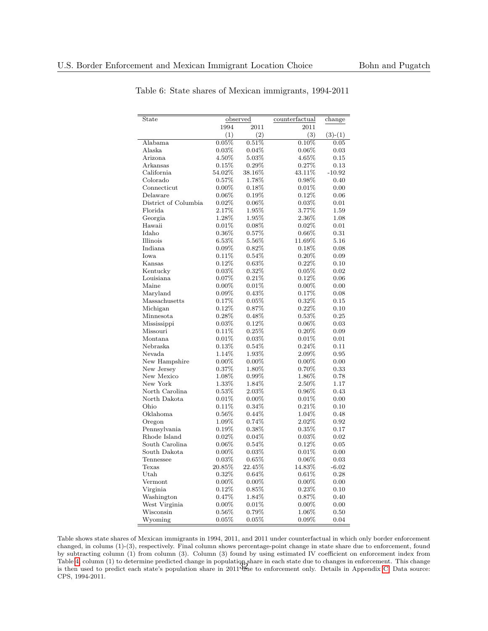| $\overline{\text{State}}$ |          | observed | counterfactual | change            |
|---------------------------|----------|----------|----------------|-------------------|
|                           | 1994     | 2011     | 2011           |                   |
|                           | (1)      | (2)      | (3)            |                   |
| Alabama                   | 0.05%    | 0.51%    | 0.10%          | $(3)-(1)$<br>0.05 |
| Alaska                    | 0.03%    | $0.04\%$ | $0.06\%$       |                   |
| Arizona                   | 4.50%    | 5.03%    | 4.65%          | 0.03<br>0.15      |
|                           | 0.15%    | 0.29%    | 0.27%          |                   |
| Arkansas                  |          |          |                | 0.13              |
| California                | 54.02%   | 38.16%   | 43.11%         | $-10.92$          |
| Colorado                  | 0.57%    | 1.78%    | 0.98%          | 0.40              |
| Connecticut               | $0.00\%$ | 0.18%    | 0.01%          | 0.00              |
| Delaware                  | 0.06%    | 0.19%    | 0.12%          | 0.06              |
| District of Columbia      | 0.02%    | 0.06%    | 0.03%          | 0.01              |
| Florida                   | 2.17%    | 1.95%    | 3.77%          | 1.59              |
| Georgia                   | 1.28%    | 1.95%    | 2.36%          | 1.08              |
| Hawaii                    | 0.01%    | 0.08%    | 0.02%          | 0.01              |
| Idaho                     | $0.36\%$ | 0.57%    | $0.66\%$       | 0.31              |
| Illinois                  | 6.53%    | 5.56%    | 11.69%         | 5.16              |
| Indiana                   | 0.09%    | 0.82%    | 0.18%          | 0.08              |
| Iowa                      | 0.11%    | 0.54%    | $0.20\%$       | 0.09              |
| Kansas                    | $0.12\%$ | 0.63%    | $0.22\%$       | 0.10              |
| Kentucky                  | 0.03%    | 0.32%    | 0.05%          | 0.02              |
| Louisiana                 | 0.07%    | 0.21%    | 0.12%          | 0.06              |
| Maine                     | $0.00\%$ | 0.01%    | $0.00\%$       | 0.00              |
| Maryland                  | $0.09\%$ | 0.43%    | 0.17%          | 0.08              |
| Massachusetts             | 0.17%    | 0.05%    | 0.32%          | 0.15              |
| Michigan                  | $0.12\%$ | 0.87%    | $0.22\%$       | 0.10              |
| Minnesota                 | 0.28%    | 0.48%    | 0.53%          | 0.25              |
| Mississippi               | 0.03%    | 0.12%    | $0.06\%$       | 0.03              |
| Missouri                  | 0.11%    | 0.25%    | $0.20\%$       | 0.09              |
| Montana                   | 0.01%    | 0.03%    | 0.01%          | 0.01              |
| Nebraska                  | 0.13%    | 0.54%    | 0.24%          | 0.11              |
| Nevada                    | 1.14%    | 1.93%    | 2.09%          | 0.95              |
| New Hampshire             | $0.00\%$ | $0.00\%$ | $0.00\%$       | 0.00              |
| New Jersey                | 0.37%    | 1.80%    | 0.70%          | 0.33              |
| New Mexico                | 1.08%    | $0.99\%$ | 1.86%          | 0.78              |
| New York                  | $1.33\%$ | 1.84%    | 2.50%          | 1.17              |
| North Carolina            | 0.53%    | 2.03%    | 0.96%          | 0.43              |
| North Dakota              | 0.01%    | $0.00\%$ | 0.01%          | 0.00              |
| Ohio                      | 0.11%    | 0.34%    | 0.21%          | 0.10              |
| Oklahoma                  | 0.56%    | 0.44%    | 1.04%          | 0.48              |
| Oregon                    | 1.09%    | 0.74%    | $2.02\%$       | 0.92              |
| Pennsylvania              | 0.19%    | 0.38%    | 0.35%          | 0.17              |
| Rhode Island              | 0.02%    | 0.04%    | 0.03%          | 0.02              |
| South Carolina            | $0.06\%$ | 0.54%    | 0.12%          | 0.05              |
| South Dakota              | $0.00\%$ | $0.03\%$ | 0.01%          | 0.00              |
| Tennessee                 | 0.03%    | 0.65%    | $0.06\%$       | 0.03              |
| Texas                     | 20.85%   | 22.45%   | 14.83%         | $-6.02$           |
| Utah                      | $0.32\%$ | 0.64%    | 0.61%          | 0.28              |
| Vermont                   | $0.00\%$ | $0.00\%$ | $0.00\%$       | 0.00              |
| Virginia                  | 0.12%    | 0.85%    | 0.23%          | 0.10              |
| Washington                | $0.47\%$ | 1.84%    | $0.87\%$       | 0.40              |
| West Virginia             | $0.00\%$ | 0.01%    | $0.00\%$       | 0.00              |
| Wisconsin                 | 0.56%    | 0.79%    | $1.06\%$       | 0.50              |
| Wyoming                   | 0.05%    | 0.05%    | 0.09%          | 0.04              |

<span id="page-32-0"></span>Table 6: State shares of Mexican immigrants, 1994-2011

Table shows state shares of Mexican immigrants in 1994, 2011, and 2011 under counterfactual in which only border enforcement changed, in colums (1)-(3), respectively. Final column shows percentage-point change in state share due to enforcement, found by subtracting column (1) from column (3). Column (3) found by using estimated IV coefficient on enforcement index from Table [4,](#page-30-0) column (1) to determine predicted change in population share in each state due to changes in enforcement. This change rable 4, column (1) to determine predicted change in populations in each state due to changes in emorcement. This change<br>is then used to predict each state's population share in 2011 due to enforcement only. Details in App CPS, 1994-2011.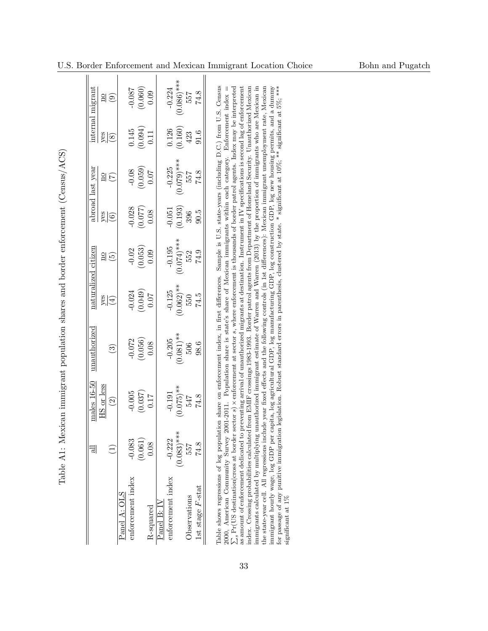|                     | ಸ             | $males 16-50$ | unautlorized  |                     | naturalized citizen        |             | abroad last year |               | internal migrant |
|---------------------|---------------|---------------|---------------|---------------------|----------------------------|-------------|------------------|---------------|------------------|
|                     |               | HS or less    |               |                     | $\frac{1}{2}$              |             | $\frac{1}{2}$    |               |                  |
|                     |               | $\odot$       | $\widehat{S}$ | $\frac{f(t)}{s(s)}$ | $\widetilde{\mathfrak{G}}$ | $rac{9}{6}$ | E                | $rac{8}{(8)}$ | 20               |
| Panel A: OLS        |               |               |               |                     |                            |             |                  |               |                  |
| enforcement index   | $-0.083$      | $-0.005$      | $-0.072$      | $-0.024$            | $-0.02$                    | $-0.028$    | $-0.08$          | 0.145         | $-0.087$         |
|                     | (0.061)       | (0.037)       | (0.056)       | (0.049)             | (0.053)                    | (0.077)     | (0.059)          | (0.094)       | (0.060)          |
| R-squared           | 0.08          | 0.17          | 0.08          | <b>10.07</b>        | 0.09                       | 0.08        | 0.07             | 0.11          | 0.09             |
| $P$ anel B: IV      |               |               |               |                     |                            |             |                  |               |                  |
| enforcement index   | $-0.222$      | $-0.191$      | $-0.205$      | $-0.125$            | $-0.195$                   | $-0.051$    | $-0.225$         | 0.126         | $-0.224$         |
|                     | $(0.083)$ *** | $(0.075)$ **  | $(0.081)$ **  | $(0.062)$ **        | $(0.074)^***$              | (0.193)     | $(0.079)$ ***    | (0.160)       | $(0.086)$ ***    |
| Observations        | 557           | 547           | 506           | 550                 | 552                        | 396         | 557              | 423           | 557              |
| 1st stage $F$ -stat | 74.8          | 74.8          | 98.6          | 74.5                | 74.9                       | 5.00        | 74.8             | 91.6          | 74.8             |

| Ì<br>l                                                                                                                                                                                                                                                  |
|---------------------------------------------------------------------------------------------------------------------------------------------------------------------------------------------------------------------------------------------------------|
| )<br>)<br>j                                                                                                                                                                                                                                             |
| ֚<br> <br> <br> <br> <br>controving the controving of controving controving controving the controving controving controving controving controving controving controving controving controving controving controving controving controving controving co |
|                                                                                                                                                                                                                                                         |
|                                                                                                                                                                                                                                                         |
|                                                                                                                                                                                                                                                         |
|                                                                                                                                                                                                                                                         |
|                                                                                                                                                                                                                                                         |
|                                                                                                                                                                                                                                                         |
| l<br>.<br> <br> <br>)<br>}<br>                                                                                                                                                                                                                          |

<span id="page-33-0"></span>33

immigrants calculated by multiplying unauthorized immigrant estimate of Warren and Warren (2013) by the proportion of immigrants who are Mexican in<br>the state-year cell. All regressions include year fixed effects and the fo immigrant hourly wage, log GDP per capita, log agricultural GDP, log manifacturing GDP, log construction GDP, log new housing permits, and a dummy for passage of any punitive immigration legislation. Robust standard error 2000, American Community Survey 2001-2011. Population share is state's share of Mexican immigrants within each category. Enforcement index =  $\sum_{s} Pr(US$  destination[cross at border sector s) x enforcement at sector s, wher as amount of enforcement dedicated to preventing arrival of unauthorized migrants at destination. Instrument in IV specifications is second lag of enforcement index. Crossing probabilities calculated from EMIF crossings 1983-1993. Border patrol agents from Department of Homeland Security. Unauthorized Mexican immigrants calculated by multiplying unauthorized immigrant estimate of Warren and Warren (2013) by the proportion of immigrants who are Mexican in the state-year cell. All regressions include year fixed effects and the following controls (in 1st differences): Mexican immigrant unemployment rate, Mexican immigrant hourly wage, log GDP per capita, log agricultural GDP, log manufacturing GDP, log construction GDP, log new housing permits, and a dummy for passage of any punitive immigration legislation. Robust standard errors in parenthesis, clustered by state. \* significant at 10%; \*\* significant at 5%; \*\*\*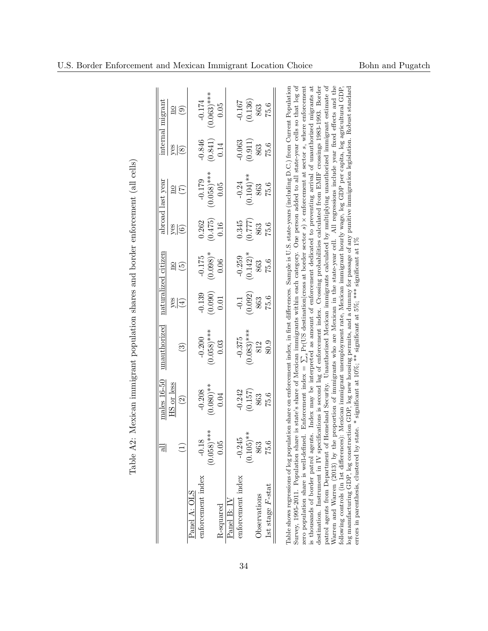<span id="page-34-0"></span>

|                     | ㅋ                  | males 16-50   | unauthorized  |                | naturalized citizen |                                  | abroad last year      |                | internal migrant                                    |
|---------------------|--------------------|---------------|---------------|----------------|---------------------|----------------------------------|-----------------------|----------------|-----------------------------------------------------|
|                     |                    | HS or less    |               |                |                     |                                  | $\frac{1}{2}$         |                | $\frac{1}{2}$                                       |
|                     |                    | $\widehat{c}$ | ⊙             | $\frac{1}{28}$ | $\frac{20}{5}$      | $\frac{5}{6}$                    | $(\widetilde{\zeta})$ | $\frac{8}{88}$ | $\left( \begin{matrix} 0 \\ 0 \end{matrix} \right)$ |
| Panel A: OLS        |                    |               |               |                |                     |                                  |                       |                |                                                     |
| enforcement index   | $\infty$<br>$-0.1$ | $-0.208$      | $-0.200$      | $-0.139$       | $-0.175$            | 0.262                            | $-0.179$              | $-0.846$       | $-0.174$                                            |
|                     | $(0.058)$ ***      | $(0.080)**$   | $(0.058)$ *** | (0.090)        | $(0.098)*$          | (0.475)                          | $(0.058)$ ***         | (0.841)        | $(0.063)$ ***                                       |
| R-squared           | 0.05               | 0.04          | 0.03          | 0.01           | 0.06                | 0.16                             | 0.05                  | 0.14           | 0.05                                                |
| Panel B: IV         |                    |               |               |                |                     |                                  |                       |                |                                                     |
| enforcement index   | $-0.245$           | $-0.242$      | $-0.375$      | $-0.1$         | $-0.259$            | 0.345                            | $-0.24$               | $-0.063$       | $-0.167$                                            |
|                     | $(0.105)$ **       | (0.157)       | $(0.083)$ *** | (0.092)        | $(0.142)^*$         | $\frac{\left(0.777\right)}{863}$ | $(0.104)$ **          | (0.911)        | (0.136)                                             |
| Observations        | 863                | 863           | 812           | 863            | 863                 |                                  | 863                   | 863            | 863                                                 |
| 1st stage $F$ -stat | 75.6               | 75.6          | 80.9          | 75.6           | 75.6                | 75.6                             | 75.6                  | 75.6           | 75.6                                                |

| į                                                                                                                    |
|----------------------------------------------------------------------------------------------------------------------|
| .<br>.<br>.                                                                                                          |
| ֧֧֧֧֧֧֧֦֧֦֧֦֧֦֧ׅ֧֛֛֧֛ׅ֧֛֧֛֛֧֛֛֧֛֛֛֚֚֚֚֚֚֚֚֚֚֚֚֚֚֚֚֚֚֚֚֡֕֕֓֕֓֕֝֓֝֓֝֟֓֟֓֝֟֓֝֬֝֓֜֓֜֓֓֓<br>֧֛֛֛֛֛֛֛֛֛֛֛֪֪֪֪֪֪֪֪֪֝֜֜֜֜֜֜֜ |
|                                                                                                                      |
|                                                                                                                      |
| = 2 = 2 = 2 = 2 =                                                                                                    |
|                                                                                                                      |
|                                                                                                                      |
|                                                                                                                      |
| $\ddot{\cdot}$                                                                                                       |
| Pahle<br>יבעים<br>ו                                                                                                  |

Warren and Warren (2013) by the proportion of immigrants who are Mexican in the state-year cell. All regressions include year fixed effects and the following controls (in 1st differences): Mexican immigrant unemployment r is thousands of border patrol agents. Index may be interpreted as amount of enforcement dedicated to preventing arrival of unauthorized migrants at destination. Instrument in IV specifications is second lag of enforcement Unauthorized Mexican immigrants calculated by multiplying unauthorized immigrant estimate of patrol agents from Department of Homeland Security. Unauthorized Mexican immigrants calculated by multiplying unauthorized immigrant estimate of is thousands of border patrol agents. Index may be interpreted as amount of enforcement dedicated to preventing arrival of unauthorized migrants at destination. Instrument in IV specifications is second lag of enforcement index. Crossing probabilities calculated from EMIF crossings 1983-1993. Border Warren and Warren (2013) by the proportion of immigrants who are Mexican in the state-year cell. All regressions include year fixed effects and the following controls (in 1st differences): Mexican immigrant unemployment rate, Mexican immigrant hourly wage, log GDP per capita, log agricultural GDP, log manufacturing GDP, log construction GDP, log new housing permits, and a dummy for passage of any punitive immigration legislation. Robust standard errors in parenthesis, clustered by state. \* significant at 10%; \*\* significant at 5%; \*\*\* significant at 1% zero population share is well-defined. Enforcement index = patrol agents from Department of Homeland Security.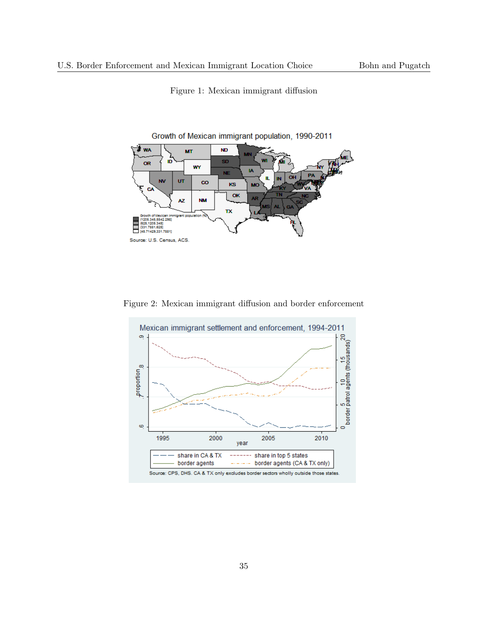<span id="page-35-0"></span>

Figure 1: Mexican immigrant diffusion

<span id="page-35-1"></span>Figure 2: Mexican immigrant diffusion and border enforcement

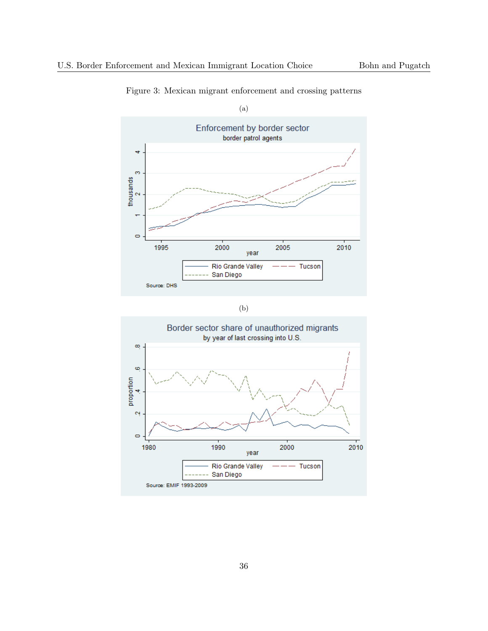

Figure 3: Mexican migrant enforcement and crossing patterns

(b)

<span id="page-36-0"></span>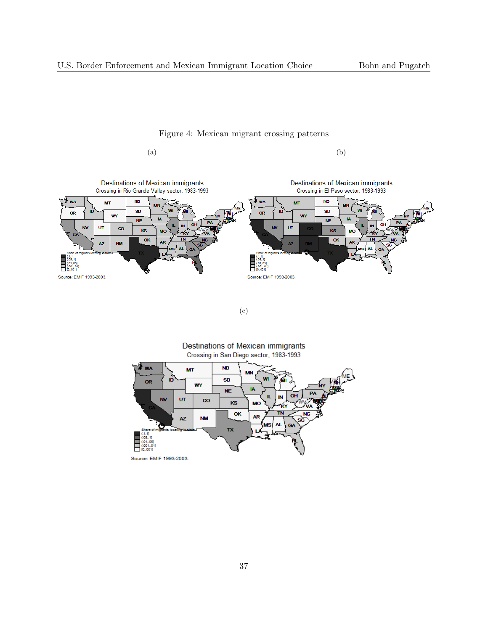







(c)

Destinations of Mexican immigrants Crossing in San Diego sector, 1983-1993

<span id="page-37-0"></span>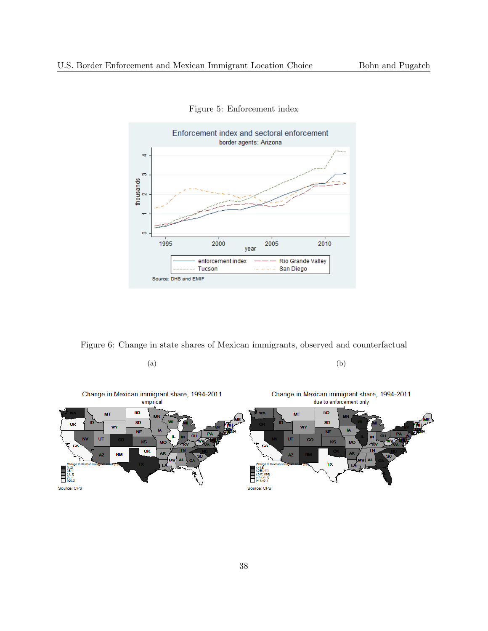<span id="page-38-0"></span>

Figure 5: Enforcement index

Figure 6: Change in state shares of Mexican immigrants, observed and counterfactual



<span id="page-38-1"></span> $(a)$  (b)